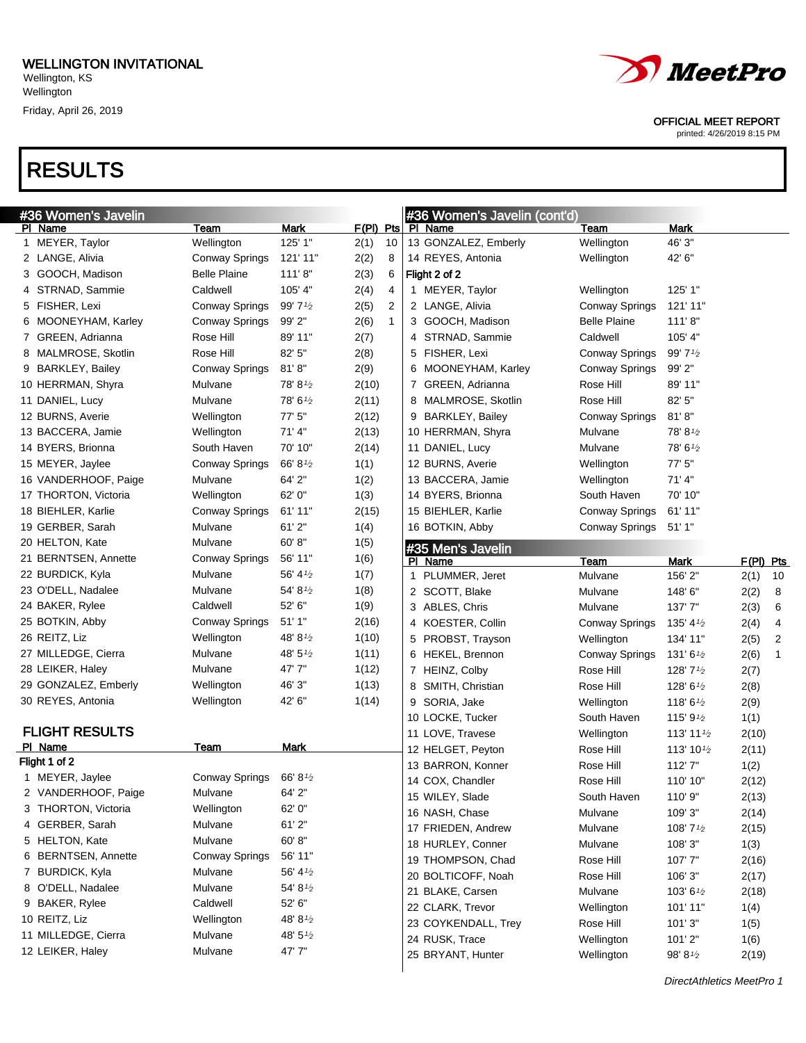

OFFICIAL MEET REPORT

printed: 4/26/2019 8:15 PM

| #36 Women's Javelin    |                       |                     |             |                | #36 Women's Javelin (cont'd) |                       |                       |           |    |
|------------------------|-----------------------|---------------------|-------------|----------------|------------------------------|-----------------------|-----------------------|-----------|----|
| PI Name                | Team                  | <b>Mark</b>         | $F(PI)$ Pts |                | PI Name                      | Team                  | Mark                  |           |    |
| 1 MEYER, Taylor        | Wellington            | 125' 1"             | 2(1)        | 10             | 13 GONZALEZ, Emberly         | Wellington            | 46' 3"                |           |    |
| 2 LANGE, Alivia        | <b>Conway Springs</b> | 121' 11"            | 2(2)        | 8              | 14 REYES, Antonia            | Wellington            | 42' 6"                |           |    |
| GOOCH, Madison<br>З    | <b>Belle Plaine</b>   | 111'8"              | 2(3)        | 6              | Flight 2 of 2                |                       |                       |           |    |
| 4 STRNAD, Sammie       | Caldwell              | 105' 4"             | 2(4)        | 4              | 1 MEYER, Taylor              | Wellington            | 125' 1"               |           |    |
| 5 FISHER, Lexi         | <b>Conway Springs</b> | 99'7'2              | 2(5)        | $\overline{2}$ | 2 LANGE, Alivia              | <b>Conway Springs</b> | 121' 11"              |           |    |
| MOONEYHAM, Karley<br>6 | Conway Springs        | 99' 2"              | 2(6)        | $\mathbf{1}$   | 3 GOOCH, Madison             | <b>Belle Plaine</b>   | 111'8"                |           |    |
| 7 GREEN, Adrianna      | Rose Hill             | 89' 11"             | 2(7)        |                | 4 STRNAD, Sammie             | Caldwell              | 105' 4"               |           |    |
| 8 MALMROSE, Skotlin    | Rose Hill             | 82' 5"              | 2(8)        |                | 5 FISHER, Lexi               | <b>Conway Springs</b> | 99' 71/2              |           |    |
| 9 BARKLEY, Bailey      | Conway Springs        | 81'8''              | 2(9)        |                | 6 MOONEYHAM, Karley          | Conway Springs        | 99' 2"                |           |    |
| 10 HERRMAN, Shyra      | Mulvane               | 78' 8'              | 2(10)       |                | 7 GREEN, Adrianna            | Rose Hill             | 89' 11"               |           |    |
| 11 DANIEL, Lucy        | Mulvane               | 78'6'               | 2(11)       |                | 8 MALMROSE, Skotlin          | Rose Hill             | 82' 5"                |           |    |
| 12 BURNS, Averie       | Wellington            | 77' 5"              | 2(12)       |                | 9 BARKLEY, Bailey            | Conway Springs        | 81'8''                |           |    |
| 13 BACCERA, Jamie      | Wellington            | 71'4"               | 2(13)       |                | 10 HERRMAN, Shyra            | Mulvane               | 78' 81/2              |           |    |
| 14 BYERS, Brionna      | South Haven           | 70' 10"             | 2(14)       |                | 11 DANIEL, Lucy              | Mulvane               | 78' 61/2              |           |    |
| 15 MEYER, Jaylee       | <b>Conway Springs</b> | 66' 8 $\frac{1}{2}$ | 1(1)        |                | 12 BURNS, Averie             | Wellington            | 77' 5"                |           |    |
| 16 VANDERHOOF, Paige   | Mulvane               | 64' 2"              | 1(2)        |                | 13 BACCERA, Jamie            | Wellington            | 71'4"                 |           |    |
| 17 THORTON, Victoria   | Wellington            | 62' 0"              | 1(3)        |                | 14 BYERS, Brionna            | South Haven           | 70' 10"               |           |    |
| 18 BIEHLER, Karlie     | Conway Springs        | 61' 11"             | 2(15)       |                | 15 BIEHLER, Karlie           | <b>Conway Springs</b> | 61' 11"               |           |    |
| 19 GERBER, Sarah       | Mulvane               | 61'2"               | 1(4)        |                | 16 BOTKIN, Abby              | Conway Springs        | 51'1"                 |           |    |
| 20 HELTON, Kate        | Mulvane               | 60'8"               | 1(5)        |                | #35 Men's Javelin            |                       |                       |           |    |
| 21 BERNTSEN, Annette   | <b>Conway Springs</b> | 56' 11"             | 1(6)        |                | PI Name                      | Team                  | Mark                  | F(PI) Pts |    |
| 22 BURDICK, Kyla       | Mulvane               | 56' $4\frac{1}{2}$  | 1(7)        |                | 1 PLUMMER, Jeret             | Mulvane               | 156' 2"               | 2(1)      | 10 |
| 23 O'DELL, Nadalee     | Mulvane               | 54' $8\frac{1}{2}$  | 1(8)        |                | 2 SCOTT, Blake               | Mulvane               | 148'6"                | 2(2)      | 8  |
| 24 BAKER, Rylee        | Caldwell              | 52' 6"              | 1(9)        |                | 3 ABLES, Chris               | Mulvane               | 137'7"                | 2(3)      | 6  |
| 25 BOTKIN, Abby        | Conway Springs        | 51'1"               | 2(16)       |                | 4 KOESTER, Collin            | <b>Conway Springs</b> | 135' 4 $\frac{1}{2}$  | 2(4)      | 4  |
| 26 REITZ, Liz          | Wellington            | 48' 8 $\frac{1}{2}$ | 1(10)       |                | 5 PROBST, Trayson            | Wellington            | 134' 11"              | 2(5)      | 2  |
| 27 MILLEDGE, Cierra    | Mulvane               | 48' $5\frac{1}{2}$  | 1(11)       |                | 6 HEKEL, Brennon             | <b>Conway Springs</b> | 131' 6 $\frac{1}{2}$  | 2(6)      | 1  |
| 28 LEIKER, Haley       | Mulvane               | 47'7"               | 1(12)       |                | 7 HEINZ, Colby               | Rose Hill             | 128' 71/2             | 2(7)      |    |
| 29 GONZALEZ, Emberly   | Wellington            | 46' 3"              | 1(13)       |                | 8 SMITH, Christian           | Rose Hill             | 128' 61/2             | 2(8)      |    |
| 30 REYES, Antonia      | Wellington            | 42' 6"              | 1(14)       |                | SORIA, Jake<br>9             | Wellington            | 118' 6 $\frac{1}{2}$  | 2(9)      |    |
|                        |                       |                     |             |                | 10 LOCKE, Tucker             | South Haven           | 115' $9\frac{1}{2}$   | 1(1)      |    |
| <b>FLIGHT RESULTS</b>  |                       |                     |             |                | 11 LOVE, Travese             | Wellington            | 113' 11 $\frac{1}{2}$ | 2(10)     |    |
| PI Name                | Team                  | Mark                |             |                | 12 HELGET, Peyton            | Rose Hill             | 113' 101/2            | 2(11)     |    |
| Flight 1 of 2          |                       |                     |             |                | 13 BARRON, Konner            | Rose Hill             | 112'7"                | 1(2)      |    |
| 1 MEYER, Jaylee        | Conway Springs        | 66' 81/2            |             |                | 14 COX, Chandler             | Rose Hill             | 110' 10"              | 2(12)     |    |
| 2 VANDERHOOF, Paige    | Mulvane               | 64' 2"              |             |                | 15 WILEY, Slade              | South Haven           | 110'9"                | 2(13)     |    |
| 3 THORTON, Victoria    | Wellington            | 62' 0"              |             |                | 16 NASH, Chase               | Mulvane               | 109' 3"               | 2(14)     |    |
| 4 GERBER, Sarah        | Mulvane               | 61'2"               |             |                | 17 FRIEDEN, Andrew           | Mulvane               | 108' 71/2             | 2(15)     |    |
| 5 HELTON, Kate         | Mulvane               | 60'8"               |             |                | 18 HURLEY, Conner            | Mulvane               | 108' 3"               | 1(3)      |    |
| 6 BERNTSEN, Annette    | <b>Conway Springs</b> | 56' 11"             |             |                | 19 THOMPSON, Chad            | Rose Hill             | 107'7"                | 2(16)     |    |
| 7 BURDICK, Kyla        | Mulvane               | 56' 4 $\frac{1}{2}$ |             |                | 20 BOLTICOFF, Noah           | Rose Hill             | 106' 3"               | 2(17)     |    |
| 8 O'DELL, Nadalee      | Mulvane               | 54' 81/2            |             |                | 21 BLAKE, Carsen             | Mulvane               | 103' 61/2             | 2(18)     |    |
| 9 BAKER, Rylee         | Caldwell              | 52' 6"              |             |                | 22 CLARK, Trevor             | Wellington            | 101' 11"              | 1(4)      |    |
| 10 REITZ, Liz          | Wellington            | 48' 81/2            |             |                | 23 COYKENDALL, Trey          | Rose Hill             | 101'3"                | 1(5)      |    |
| 11 MILLEDGE, Cierra    | Mulvane               | 48' 5 $\frac{1}{2}$ |             |                | 24 RUSK, Trace               | Wellington            | 101'2"                | 1(6)      |    |
| 12 LEIKER, Haley       | Mulvane               | 47'7"               |             |                | 25 BRYANT, Hunter            | Wellington            | 98' 81/2              | 2(19)     |    |
|                        |                       |                     |             |                |                              |                       |                       |           |    |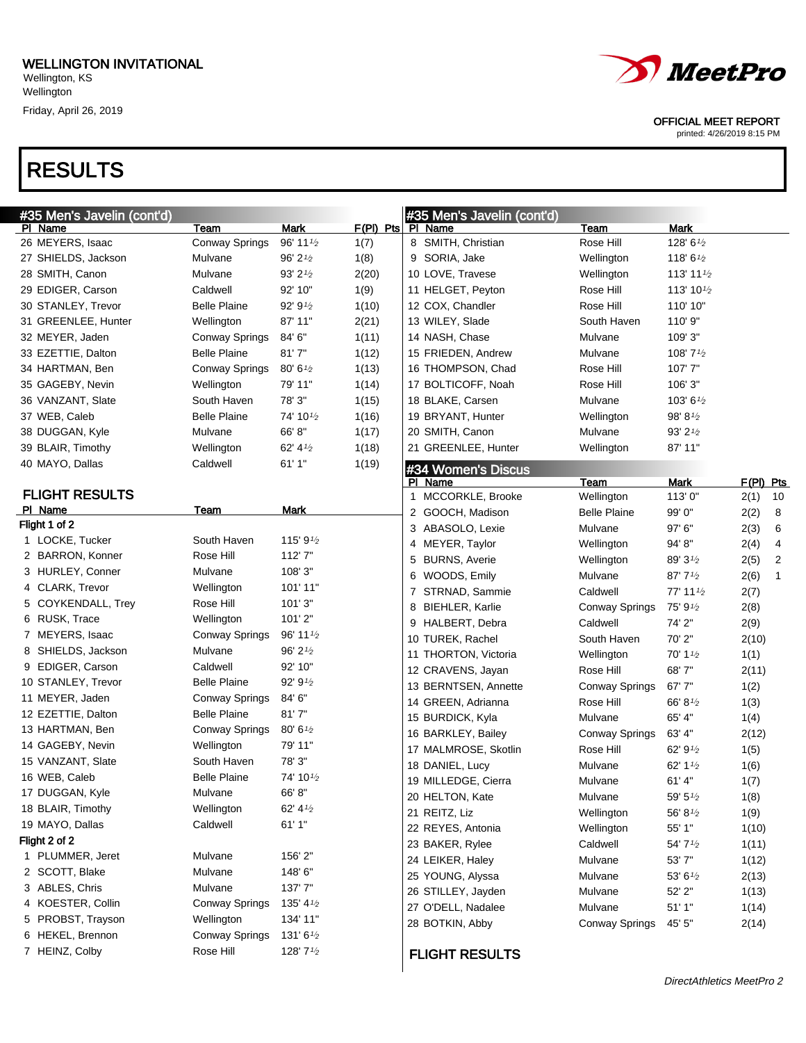## RESULTS

OFFICIAL MEET REPORT

| #35 Men's Javelin (cont'd) |                       |                                    |             |   | #35 Men's Javelin (cont'd) |                       |                       |           |              |
|----------------------------|-----------------------|------------------------------------|-------------|---|----------------------------|-----------------------|-----------------------|-----------|--------------|
| PI Name                    | Team                  | <b>Mark</b>                        | $F(PI)$ Pts |   | PI Name                    | <u>Team</u>           | <b>Mark</b>           |           |              |
| 26 MEYERS, Isaac           | Conway Springs        | 96' 11 $\frac{1}{2}$               | 1(7)        |   | 8 SMITH, Christian         | Rose Hill             | 128' 61/2             |           |              |
| 27 SHIELDS, Jackson        | Mulvane               | 96' 21/2                           | 1(8)        |   | 9 SORIA, Jake              | Wellington            | 118' $6\frac{1}{2}$   |           |              |
| 28 SMITH, Canon            | Mulvane               | $93'$ 2 $\frac{1}{2}$              | 2(20)       |   | 10 LOVE, Travese           | Wellington            | 113' 11 $\frac{1}{2}$ |           |              |
| 29 EDIGER, Carson          | Caldwell              | 92' 10"                            | 1(9)        |   | 11 HELGET, Peyton          | Rose Hill             | 113' 10 $\frac{1}{2}$ |           |              |
| 30 STANLEY, Trevor         | <b>Belle Plaine</b>   | 92' 9'2                            | 1(10)       |   | 12 COX, Chandler           | Rose Hill             | 110' 10"              |           |              |
| 31 GREENLEE, Hunter        | Wellington            | 87' 11"                            | 2(21)       |   | 13 WILEY, Slade            | South Haven           | 110' 9"               |           |              |
| 32 MEYER, Jaden            | Conway Springs        | 84' 6"                             | 1(11)       |   | 14 NASH, Chase             | Mulvane               | 109' 3"               |           |              |
| 33 EZETTIE, Dalton         | <b>Belle Plaine</b>   | 81'7''                             | 1(12)       |   | 15 FRIEDEN, Andrew         | Mulvane               | 108' $7\frac{1}{2}$   |           |              |
| 34 HARTMAN, Ben            | Conway Springs        | 80' 61/2                           | 1(13)       |   | 16 THOMPSON, Chad          | Rose Hill             | 107'7"                |           |              |
| 35 GAGEBY, Nevin           | Wellington            | 79' 11"                            | 1(14)       |   | 17 BOLTICOFF, Noah         | Rose Hill             | 106' 3"               |           |              |
| 36 VANZANT, Slate          | South Haven           | 78'3"                              | 1(15)       |   | 18 BLAKE, Carsen           | Mulvane               | 103' $6\frac{1}{2}$   |           |              |
| 37 WEB, Caleb              | <b>Belle Plaine</b>   | 74' 10 $\frac{1}{2}$               | 1(16)       |   | 19 BRYANT, Hunter          | Wellington            | 98' 8'                |           |              |
| 38 DUGGAN, Kyle            | Mulvane               | 66' 8"                             | 1(17)       |   | 20 SMITH, Canon            | Mulvane               | $93'$ 2 $\frac{1}{2}$ |           |              |
| 39 BLAIR, Timothy          | Wellington            | 62' 41/2                           | 1(18)       |   | 21 GREENLEE, Hunter        | Wellington            | 87' 11"               |           |              |
| 40 MAYO, Dallas            | Caldwell              | 61'1"                              | 1(19)       |   | #34 Women's Discus         |                       |                       |           |              |
|                            |                       |                                    |             |   | PI Name                    | <b>Team</b>           | Mark                  | F(PI) Pts |              |
| <b>FLIGHT RESULTS</b>      |                       |                                    |             |   | 1 MCCORKLE, Brooke         | Wellington            | 113'0"                | 2(1)      | 10           |
| PI Name                    | Team                  | <b>Mark</b>                        |             |   | 2 GOOCH, Madison           | <b>Belle Plaine</b>   | 99' 0"                | 2(2)      | 8            |
| Flight 1 of 2              |                       |                                    |             |   | 3 ABASOLO, Lexie           | Mulvane               | 97' 6"                | 2(3)      | 6            |
| 1 LOCKE, Tucker            | South Haven           | 115' 91/2                          |             |   | 4 MEYER, Taylor            | Wellington            | 94' 8"                | 2(4)      | 4            |
| 2 BARRON, Konner           | Rose Hill             | 112'7"                             |             |   | 5 BURNS, Averie            | Wellington            | $89'3\frac{1}{2}$     | 2(5)      | 2            |
| 3 HURLEY, Conner           | Mulvane               | 108'3"                             |             | 6 | WOODS, Emily               | Mulvane               | $87'$ 7 $\frac{1}{2}$ | 2(6)      | $\mathbf{1}$ |
| 4 CLARK, Trevor            | Wellington            | 101' 11"                           |             |   | 7 STRNAD, Sammie           | Caldwell              | 77' 11 $\frac{1}{2}$  | 2(7)      |              |
| 5 COYKENDALL, Trey         | Rose Hill             | 101'3"                             |             | 8 | <b>BIEHLER, Karlie</b>     | <b>Conway Springs</b> | 75' 91/2              | 2(8)      |              |
| 6 RUSK, Trace              | Wellington            | 101'2"                             |             |   | 9 HALBERT, Debra           | Caldwell              | 74' 2"                | 2(9)      |              |
| 7 MEYERS, Isaac            | Conway Springs        | 96' 11 <sup><math>1/2</math></sup> |             |   | 10 TUREK, Rachel           | South Haven           | 70' 2"                | 2(10)     |              |
| 8 SHIELDS, Jackson         | Mulvane               | 96' 21/2                           |             |   | 11 THORTON, Victoria       | Wellington            | 70' 1 $\frac{1}{2}$   | 1(1)      |              |
| 9 EDIGER, Carson           | Caldwell              | 92' 10"                            |             |   | 12 CRAVENS, Jayan          | Rose Hill             | 68'7"                 | 2(11)     |              |
| 10 STANLEY, Trevor         | <b>Belle Plaine</b>   | 92' 91/2                           |             |   | 13 BERNTSEN, Annette       | <b>Conway Springs</b> | 67'7"                 | 1(2)      |              |
| 11 MEYER, Jaden            | Conway Springs        | 84' 6"                             |             |   | 14 GREEN, Adrianna         | Rose Hill             | 66' 8 $\frac{1}{2}$   | 1(3)      |              |
| 12 EZETTIE, Dalton         | <b>Belle Plaine</b>   | 81'7''                             |             |   | 15 BURDICK, Kyla           | Mulvane               | 65' 4"                | 1(4)      |              |
| 13 HARTMAN, Ben            | <b>Conway Springs</b> | 80' 61/2                           |             |   | 16 BARKLEY, Bailey         | Conway Springs        | 63' 4"                | 2(12)     |              |
| 14 GAGEBY, Nevin           | Wellington            | 79' 11"                            |             |   | 17 MALMROSE, Skotlin       | Rose Hill             | 62' $9\frac{1}{2}$    | 1(5)      |              |
| 15 VANZANT, Slate          | South Haven           | 78'3"                              |             |   | 18 DANIEL, Lucy            | Mulvane               | 62' 1 $\frac{1}{2}$   | 1(6)      |              |
| 16 WEB, Caleb              | <b>Belle Plaine</b>   | 74' 10 $\frac{1}{2}$               |             |   | 19 MILLEDGE, Cierra        | Mulvane               | 61' 4"                | 1(7)      |              |
| 17 DUGGAN, Kyle            | Mulvane               | 66' 8"                             |             |   | 20 HELTON, Kate            | Mulvane               | 59' 5 $\frac{1}{2}$   | 1(8)      |              |
| 18 BLAIR, Timothy          | Wellington            | 62' 4 $\frac{1}{2}$                |             |   | 21 REITZ, Liz              | Wellington            | 56' 81/2              | 1(9)      |              |
| 19 MAYO, Dallas            | Caldwell              | 61' 1"                             |             |   | 22 REYES, Antonia          | Wellington            | 55' 1"                | 1(10)     |              |
| Flight 2 of 2              |                       |                                    |             |   | 23 BAKER, Rylee            | Caldwell              | 54' 71/2              | 1(11)     |              |
| 1 PLUMMER, Jeret           | Mulvane               | 156' 2"                            |             |   | 24 LEIKER, Haley           | Mulvane               | 53' 7"                | 1(12)     |              |
| 2 SCOTT, Blake             | Mulvane               | 148'6"                             |             |   | 25 YOUNG, Alyssa           | Mulvane               | 53' 61/2              | 2(13)     |              |
| 3 ABLES, Chris             | Mulvane               | 137'7"                             |             |   | 26 STILLEY, Jayden         | Mulvane               | 52' 2"                | 1(13)     |              |
| 4 KOESTER, Collin          | <b>Conway Springs</b> | 135' 4 $\frac{1}{2}$               |             |   | 27 O'DELL, Nadalee         | Mulvane               | 51'1''                | 1(14)     |              |
| 5 PROBST, Trayson          | Wellington            | 134' 11"                           |             |   | 28 BOTKIN, Abby            | Conway Springs        | 45' 5"                | 2(14)     |              |
| 6 HEKEL, Brennon           | <b>Conway Springs</b> | 131' 6 $\frac{1}{2}$               |             |   |                            |                       |                       |           |              |
| 7 HEINZ, Colby             | Rose Hill             | 128' 71/2                          |             |   | <b>FLIGHT RESULTS</b>      |                       |                       |           |              |
|                            |                       |                                    |             |   |                            |                       |                       |           |              |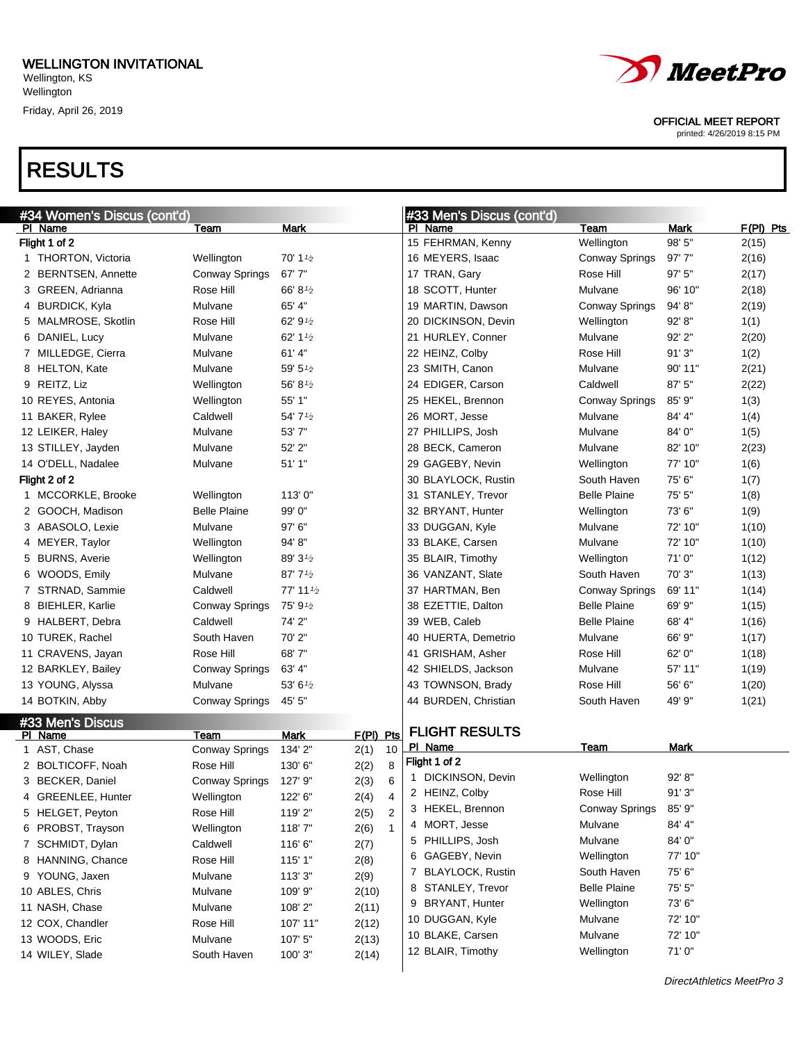

#### OFFICIAL MEET REPORT

printed: 4/26/2019 8:15 PM

|                                      | #34 Women's Discus (cont'd)         |                                   |                   | #33 Men's Discus (cont'd) |                       |         |             |
|--------------------------------------|-------------------------------------|-----------------------------------|-------------------|---------------------------|-----------------------|---------|-------------|
| PI Name                              | Team                                | <b>Mark</b>                       |                   | PI Name                   | Team                  | Mark    | $F(PI)$ Pts |
| Flight 1 of 2                        |                                     |                                   |                   | 15 FEHRMAN, Kenny         | Wellington            | 98' 5"  | 2(15)       |
| 1 THORTON, Victoria                  | Wellington                          | 70' 1 $\frac{1}{2}$               |                   | 16 MEYERS, Isaac          | <b>Conway Springs</b> | 97'7"   | 2(16)       |
| 2 BERNTSEN, Annette                  | <b>Conway Springs</b>               | 67'7"                             |                   | 17 TRAN, Gary             | Rose Hill             | 97' 5"  | 2(17)       |
| 3 GREEN, Adrianna                    | Rose Hill                           | 66' 8 <sup>1</sup> / <sub>2</sub> |                   | 18 SCOTT, Hunter          | Mulvane               | 96' 10" | 2(18)       |
| 4 BURDICK, Kyla                      | Mulvane                             | 65' 4"                            |                   | 19 MARTIN, Dawson         | <b>Conway Springs</b> | 94'8"   | 2(19)       |
| 5 MALMROSE, Skotlin                  | Rose Hill                           | 62' 91/2                          |                   | 20 DICKINSON, Devin       | Wellington            | 92' 8"  | 1(1)        |
| 6 DANIEL, Lucy                       | Mulvane                             | 62' 1 $\frac{1}{2}$               |                   | 21 HURLEY, Conner         | Mulvane               | 92' 2"  | 2(20)       |
| 7 MILLEDGE, Cierra                   | Mulvane                             | 61' 4"                            |                   | 22 HEINZ, Colby           | Rose Hill             | 91'3''  | 1(2)        |
| 8 HELTON, Kate                       | Mulvane                             | 59' $5\frac{1}{2}$                |                   | 23 SMITH, Canon           | Mulvane               | 90' 11" | 2(21)       |
| 9 REITZ, Liz                         | Wellington                          | 56' 81/2                          |                   | 24 EDIGER, Carson         | Caldwell              | 87' 5"  | 2(22)       |
| 10 REYES, Antonia                    | Wellington                          | 55' 1"                            |                   | 25 HEKEL, Brennon         | <b>Conway Springs</b> | 85' 9"  | 1(3)        |
| 11 BAKER, Rylee                      | Caldwell                            | 54' 71/2                          |                   | 26 MORT, Jesse            | Mulvane               | 84' 4"  | 1(4)        |
| 12 LEIKER, Haley                     | Mulvane                             | 53' 7"                            |                   | 27 PHILLIPS, Josh         | Mulvane               | 84'0"   | 1(5)        |
| 13 STILLEY, Jayden                   | Mulvane                             | 52' 2"                            |                   | 28 BECK, Cameron          | Mulvane               | 82' 10" | 2(23)       |
| 14 O'DELL, Nadalee                   | Mulvane                             | 51'1"                             |                   | 29 GAGEBY, Nevin          | Wellington            | 77' 10" | 1(6)        |
| Flight 2 of 2                        |                                     |                                   |                   | 30 BLAYLOCK, Rustin       | South Haven           | 75' 6"  | 1(7)        |
| 1 MCCORKLE, Brooke                   | Wellington                          | 113'0"                            |                   | 31 STANLEY, Trevor        | <b>Belle Plaine</b>   | 75' 5"  | 1(8)        |
| 2 GOOCH, Madison                     | <b>Belle Plaine</b>                 | 99' 0"                            |                   | 32 BRYANT, Hunter         | Wellington            | 73'6"   | 1(9)        |
| 3 ABASOLO, Lexie                     | Mulvane                             | 97' 6"                            |                   | 33 DUGGAN, Kyle           | Mulvane               | 72' 10" | 1(10)       |
| 4 MEYER, Taylor                      | Wellington                          | 94' 8"                            |                   | 33 BLAKE, Carsen          | Mulvane               | 72' 10" | 1(10)       |
| 5 BURNS, Averie                      | Wellington                          | 89' 31/2                          |                   | 35 BLAIR, Timothy         | Wellington            | 71'0"   | 1(12)       |
| 6 WOODS, Emily                       | Mulvane                             | $87'$ 7 $\frac{1}{2}$             |                   | 36 VANZANT, Slate         | South Haven           | 70' 3"  | 1(13)       |
| 7 STRNAD, Sammie                     | Caldwell                            | 77' 11 $\frac{1}{2}$              |                   | 37 HARTMAN, Ben           | Conway Springs        | 69' 11" | 1(14)       |
| 8 BIEHLER, Karlie                    | Conway Springs                      | 75' 9 $\frac{1}{2}$               |                   | 38 EZETTIE, Dalton        | <b>Belle Plaine</b>   | 69' 9"  | 1(15)       |
| 9 HALBERT, Debra                     | Caldwell                            | 74' 2"                            |                   | 39 WEB, Caleb             | <b>Belle Plaine</b>   | 68' 4"  | 1(16)       |
| 10 TUREK, Rachel                     | South Haven                         | 70' 2"                            |                   | 40 HUERTA, Demetrio       | Mulvane               | 66' 9"  | 1(17)       |
| 11 CRAVENS, Jayan                    | Rose Hill                           | 68' 7"                            |                   | 41 GRISHAM, Asher         | Rose Hill             | 62' 0"  | 1(18)       |
| 12 BARKLEY, Bailey                   | Conway Springs                      | 63' 4"                            |                   | 42 SHIELDS, Jackson       | Mulvane               | 57' 11" | 1(19)       |
| 13 YOUNG, Alyssa                     | Mulvane                             | 53' $6\frac{1}{2}$                |                   | 43 TOWNSON, Brady         | Rose Hill             | 56' 6"  | 1(20)       |
| 14 BOTKIN, Abby                      | Conway Springs                      | 45' 5"                            |                   | 44 BURDEN, Christian      | South Haven           | 49' 9"  | 1(21)       |
| #33 Men's Discus                     |                                     |                                   |                   | <b>FLIGHT RESULTS</b>     |                       |         |             |
| PI Name                              | Team                                | <b>Mark</b>                       | F(PI) Pts<br>10   | PI Name                   | <b>Team</b>           | Mark    |             |
| 1 AST, Chase                         | Conway Springs                      | 134' 2"<br>130' 6"                | 2(1)<br>8         | Flight 1 of 2             |                       |         |             |
| 2 BOLTICOFF, Noah<br>3 RECKER Daniel | Rose Hill<br>Conway Springs 197' Q" |                                   | 2(2)<br>2(3)<br>a | 1 DICKINSON, Devin        | Wellington            | 92' 8"  |             |

| 2 BOLTICOFF, Noah  | Rose Hill      | 130' 6"  | 2(2)  |   | $_8$ Flight 1 of 2 |                     |         |
|--------------------|----------------|----------|-------|---|--------------------|---------------------|---------|
| 3 BECKER, Daniel   | Conway Springs | 127' 9"  | 2(3)  | 6 | DICKINSON, Devin   | Wellington          | 92' 8'' |
| 4 GREENLEE, Hunter | Wellington     | 122' 6"  | 2(4)  | 4 | 2 HEINZ, Colby     | Rose Hill           | 91'3''  |
| 5 HELGET, Peyton   | Rose Hill      | 119'2"   | 2(5)  | 2 | 3 HEKEL, Brennon   | Conway Springs      | 85' 9"  |
| 6 PROBST, Trayson  | Wellington     | 118'7"   | 2(6)  |   | 4 MORT, Jesse      | Mulvane             | 84' 4"  |
| 7 SCHMIDT, Dylan   | Caldwell       | 116'6"   | 2(7)  |   | 5 PHILLIPS, Josh   | Mulvane             | 84'0"   |
| 8 HANNING, Chance  | Rose Hill      | 115'1"   | 2(8)  |   | 6 GAGEBY, Nevin    | Wellington          | 77' 10" |
| 9 YOUNG, Jaxen     | Mulvane        | 113'3''  | 2(9)  |   | 7 BLAYLOCK, Rustin | South Haven         | 75' 6"  |
| 10 ABLES, Chris    | Mulvane        | 109' 9"  | 2(10) |   | 8 STANLEY, Trevor  | <b>Belle Plaine</b> | 75' 5"  |
| 11 NASH, Chase     | Mulvane        | 108'2"   | 2(11) |   | 9 BRYANT, Hunter   | Wellington          | 73' 6"  |
| 12 COX, Chandler   | Rose Hill      | 107' 11" | 2(12) |   | 10 DUGGAN, Kyle    | Mulvane             | 72' 10" |
| 13 WOODS, Eric     | Mulvane        | 107' 5"  | 2(13) |   | 10 BLAKE, Carsen   | Mulvane             | 72' 10" |
| 14 WILEY, Slade    | South Haven    | 100'3"   | 2(14) |   | 12 BLAIR, Timothy  | Wellington          | 71'0''  |
|                    |                |          |       |   |                    |                     |         |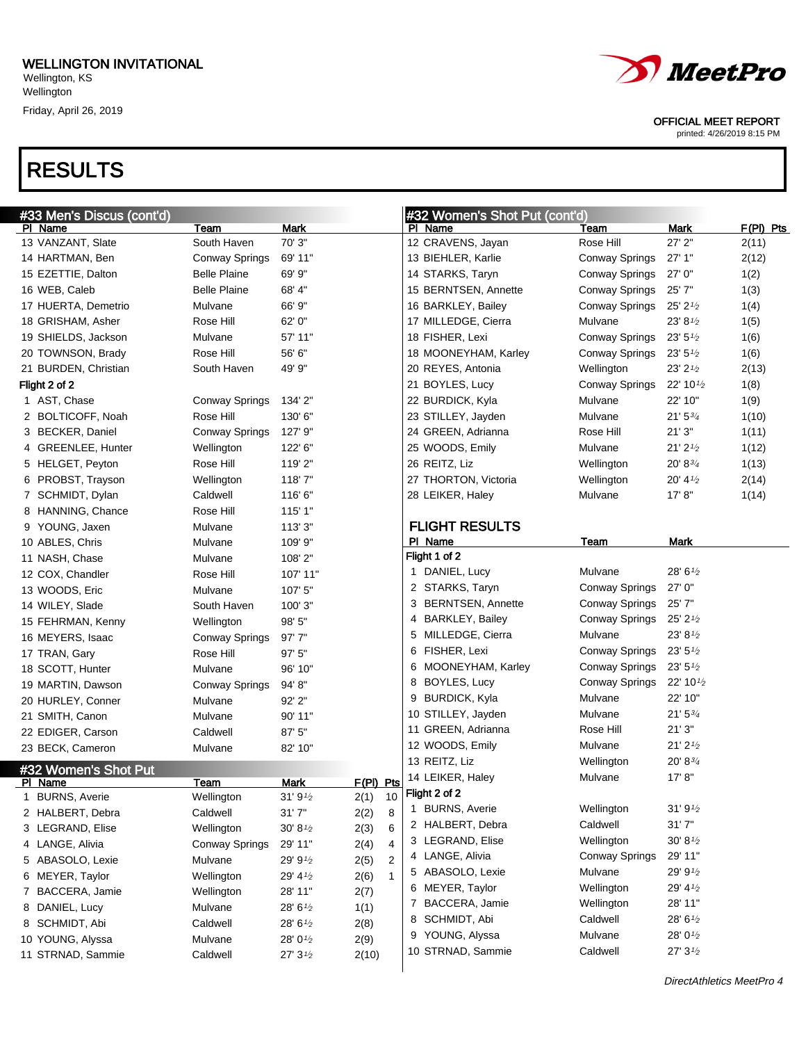**Wellington** 

Friday, April 26, 2019



#### OFFICIAL MEET REPORT

printed: 4/26/2019 8:15 PM

| #33 Men's Discus (cont'd) |                       |                     | #32 Women's Shot Put (cont'd) |                       |                       |                       |             |
|---------------------------|-----------------------|---------------------|-------------------------------|-----------------------|-----------------------|-----------------------|-------------|
| PI Name                   | Team                  | <b>Mark</b>         |                               | PI Name               | Team                  | Mark                  | $F(PI)$ Pts |
| 13 VANZANT, Slate         | South Haven           | 70' 3"              |                               | 12 CRAVENS, Jayan     | Rose Hill             | 27' 2"                | 2(11)       |
| 14 HARTMAN, Ben           | Conway Springs        | 69' 11"             |                               | 13 BIEHLER, Karlie    | <b>Conway Springs</b> | 27'1"                 | 2(12)       |
| 15 EZETTIE, Dalton        | <b>Belle Plaine</b>   | 69' 9"              |                               | 14 STARKS, Taryn      | Conway Springs        | 27'0''                | 1(2)        |
| 16 WEB, Caleb             | <b>Belle Plaine</b>   | 68' 4"              |                               | 15 BERNTSEN, Annette  | Conway Springs        | 25'7"                 | 1(3)        |
| 17 HUERTA, Demetrio       | Mulvane               | 66' 9"              |                               | 16 BARKLEY, Bailey    | Conway Springs        | $25'$ 2 $\frac{1}{2}$ | 1(4)        |
| 18 GRISHAM, Asher         | Rose Hill             | 62' 0"              |                               | 17 MILLEDGE, Cierra   | Mulvane               | 23' 81/2              | 1(5)        |
| 19 SHIELDS, Jackson       | Mulvane               | 57' 11"             |                               | 18 FISHER, Lexi       | Conway Springs        | $23'$ 5 $\frac{1}{2}$ | 1(6)        |
| 20 TOWNSON, Brady         | Rose Hill             | 56' 6"              |                               | 18 MOONEYHAM, Karley  | Conway Springs        | 23'5'' <sub>2</sub>   | 1(6)        |
| 21 BURDEN, Christian      | South Haven           | 49' 9"              |                               | 20 REYES, Antonia     | Wellington            | $23'$ $2\frac{1}{2}$  | 2(13)       |
| Flight 2 of 2             |                       |                     |                               | 21 BOYLES, Lucy       | <b>Conway Springs</b> | 22' 10 $\frac{1}{2}$  | 1(8)        |
| 1 AST, Chase              | Conway Springs        | 134' 2"             |                               | 22 BURDICK, Kyla      | Mulvane               | 22' 10"               | 1(9)        |
| 2 BOLTICOFF, Noah         | Rose Hill             | 130' 6"             |                               | 23 STILLEY, Jayden    | Mulvane               | $21'5^{3/4}$          | 1(10)       |
| 3 BECKER, Daniel          | <b>Conway Springs</b> | 127' 9"             |                               | 24 GREEN, Adrianna    | Rose Hill             | 21'3''                | 1(11)       |
| 4 GREENLEE, Hunter        | Wellington            | 122' 6"             |                               | 25 WOODS, Emily       | Mulvane               | $21'$ $2'$            | 1(12)       |
| 5 HELGET, Peyton          | Rose Hill             | 119'2"              |                               | 26 REITZ, Liz         | Wellington            | 20' 83/4              | 1(13)       |
| 6 PROBST, Trayson         | Wellington            | 118'7"              |                               | 27 THORTON, Victoria  | Wellington            | 20' 4'                | 2(14)       |
| 7 SCHMIDT, Dylan          | Caldwell              | 116'6"              |                               | 28 LEIKER, Haley      | Mulvane               | 17' 8''               | 1(14)       |
| 8 HANNING, Chance         | Rose Hill             | 115' 1"             |                               |                       |                       |                       |             |
| 9 YOUNG, Jaxen            | Mulvane               | 113' 3"             |                               | <b>FLIGHT RESULTS</b> |                       |                       |             |
| 10 ABLES, Chris           | Mulvane               | 109' 9"             |                               | PI Name               | Team                  | Mark                  |             |
| 11 NASH, Chase            | Mulvane               | 108'2"              |                               | Flight 1 of 2         |                       |                       |             |
| 12 COX, Chandler          | Rose Hill             | 107' 11"            |                               | 1 DANIEL, Lucy        | Mulvane               | 28' 61/2              |             |
| 13 WOODS, Eric            | Mulvane               | 107' 5"             |                               | 2 STARKS, Taryn       | Conway Springs        | 27' 0"                |             |
| 14 WILEY, Slade           | South Haven           | 100' 3"             |                               | 3 BERNTSEN, Annette   | Conway Springs        | 25'7"                 |             |
| 15 FEHRMAN, Kenny         | Wellington            | 98' 5"              |                               | 4 BARKLEY, Bailey     | Conway Springs        | 25' 21/2              |             |
| 16 MEYERS, Isaac          | <b>Conway Springs</b> | 97'7"               |                               | 5 MILLEDGE, Cierra    | Mulvane               | 23' 81/2              |             |
| 17 TRAN, Gary             | Rose Hill             | 97' 5"              |                               | 6 FISHER, Lexi        | Conway Springs        | $23'$ 5 $\frac{1}{2}$ |             |
| 18 SCOTT, Hunter          | Mulvane               | 96' 10"             |                               | 6 MOONEYHAM, Karley   | Conway Springs        | 23' 5'' <sub>2</sub>  |             |
| 19 MARTIN, Dawson         | Conway Springs        | 94' 8"              |                               | 8 BOYLES, Lucy        | Conway Springs        | 22' 10 $\frac{1}{2}$  |             |
| 20 HURLEY, Conner         | Mulvane               | 92' 2"              |                               | 9 BURDICK, Kyla       | Mulvane               | 22' 10"               |             |
| 21 SMITH, Canon           | Mulvane               | 90' 11"             |                               | 10 STILLEY, Jayden    | Mulvane               | $21'$ 5 $3/4$         |             |
| 22 EDIGER, Carson         | Caldwell              | 87' 5"              |                               | 11 GREEN, Adrianna    | Rose Hill             | 21'3''                |             |
| 23 BECK, Cameron          | Mulvane               | 82' 10"             |                               | 12 WOODS, Emily       | Mulvane               | $21'$ $21'$           |             |
| #32 Women's Shot Put      |                       |                     |                               | 13 REITZ, Liz         | Wellington            | 20' 83/4              |             |
| PI Name                   | Team                  | <b>Mark</b>         | $F(PI)$ Pts                   | 14 LEIKER, Haley      | Mulvane               | 17' 8''               |             |
| 1 BURNS, Averie           | Wellington            | 31'9'2              | 2(1)                          | $10$ Flight 2 of 2    |                       |                       |             |
| 2 HALBERT, Debra          | Caldwell              | 31'7''              | 2(2)<br>8                     | 1 BURNS, Averie       | Wellington            | 31'9'' <sub>2</sub>   |             |
| 3 LEGRAND, Elise          | Wellington            | $30' 8\frac{1}{2}$  | 6<br>2(3)                     | 2 HALBERT, Debra      | Caldwell              | 31'7''                |             |
| 4 LANGE, Alivia           | <b>Conway Springs</b> | 29' 11"             | 2(4)<br>4                     | 3 LEGRAND, Elise      | Wellington            | $30' 8\frac{1}{2}$    |             |
| 5 ABASOLO, Lexie          | Mulvane               | 29' 91/2            | $\overline{2}$<br>2(5)        | 4 LANGE, Alivia       | Conway Springs        | 29' 11"               |             |
| 6 MEYER, Taylor           | Wellington            | 29' 41/2            | 2(6)<br>$\mathbf{1}$          | 5 ABASOLO, Lexie      | Mulvane               | 29' 91/2              |             |
| 7 BACCERA, Jamie          | Wellington            | 28' 11"             | 2(7)                          | 6 MEYER, Taylor       | Wellington            | 29' 41/2              |             |
| 8 DANIEL, Lucy            | Mulvane               | 28' 61/2            | 1(1)                          | 7 BACCERA, Jamie      | Wellington            | 28' 11"               |             |
| 8 SCHMIDT, Abi            | Caldwell              | 28' 61/2            | 2(8)                          | 8 SCHMIDT, Abi        | Caldwell              | 28' 61/2              |             |
| 10 YOUNG, Alyssa          | Mulvane               | 28' 01/2            | 2(9)                          | 9 YOUNG, Alyssa       | Mulvane               | 28' 01/2              |             |
| 11 STRNAD, Sammie         | Caldwell              | 27'3'' <sub>2</sub> | 2(10)                         | 10 STRNAD, Sammie     | Caldwell              | 27'3'' <sub>2</sub>   |             |
|                           |                       |                     |                               |                       |                       |                       |             |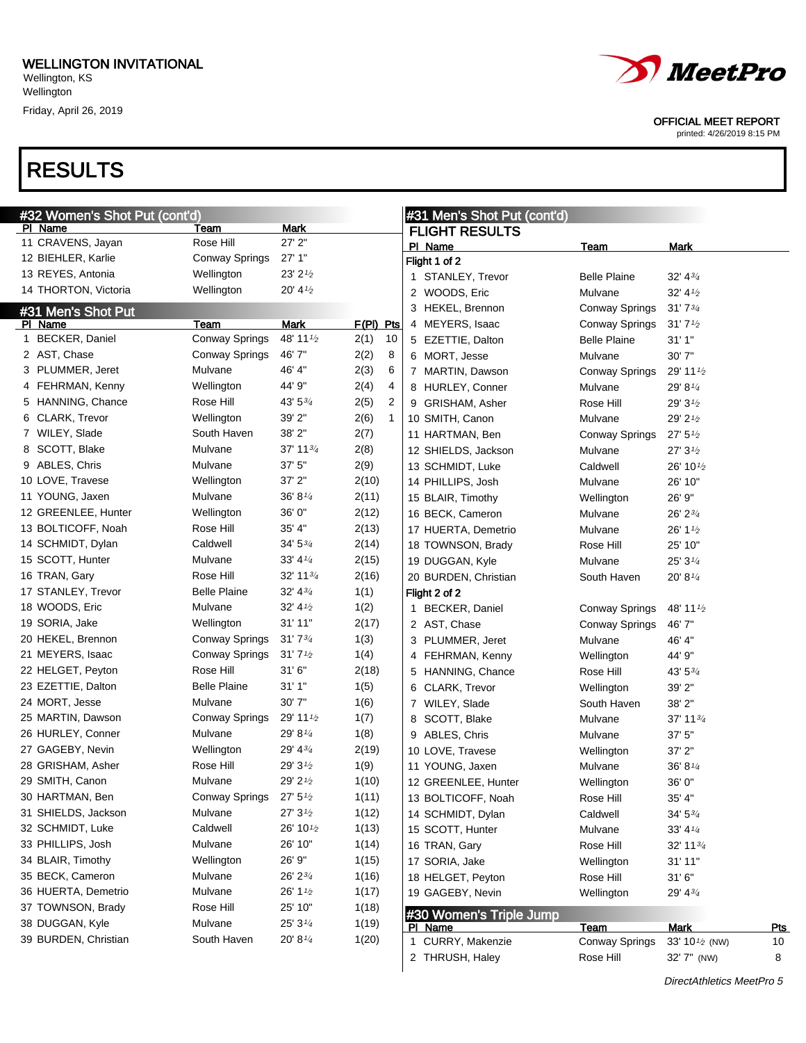## RESULTS



OFFICIAL MEET REPORT

| #32 Women's Shot Put (cont'd) |                       |                       |             |    | #31 Men's Shot Put (cont'd) |                                    |                       |                                               |  |  |  |
|-------------------------------|-----------------------|-----------------------|-------------|----|-----------------------------|------------------------------------|-----------------------|-----------------------------------------------|--|--|--|
| PI Name                       | Team                  | Mark                  |             |    |                             | <b>FLIGHT RESULTS</b>              |                       |                                               |  |  |  |
| 11 CRAVENS, Jayan             | Rose Hill             | 27' 2"                |             |    |                             | PI Name                            | Team                  | <b>Mark</b>                                   |  |  |  |
| 12 BIEHLER, Karlie            | Conway Springs        | 27'1"                 |             |    |                             | Flight 1 of 2                      |                       |                                               |  |  |  |
| 13 REYES, Antonia             | Wellington            | $23'$ $2'$            |             |    |                             | 1 STANLEY, Trevor                  | <b>Belle Plaine</b>   | 32' 43'                                       |  |  |  |
| 14 THORTON, Victoria          | Wellington            | 20' 4'                |             |    |                             | 2 WOODS, Eric                      | Mulvane               | 32' 41'                                       |  |  |  |
| #31 Men's Shot Put            |                       |                       |             |    |                             | 3 HEKEL, Brennon                   | <b>Conway Springs</b> | 31'73/4                                       |  |  |  |
| PI Name                       | Team                  | Mark                  | $F(PI)$ Pts |    |                             | 4 MEYERS, Isaac                    | Conway Springs        | 31'7''                                        |  |  |  |
| 1 BECKER, Daniel              | <b>Conway Springs</b> | 48' 11 <sup>1/2</sup> | 2(1)        | 10 |                             | 5 EZETTIE, Dalton                  | <b>Belle Plaine</b>   | 31'1''                                        |  |  |  |
| 2 AST, Chase                  | Conway Springs        | 46'7"                 | 2(2)        | 8  |                             | 6 MORT, Jesse                      | Mulvane               | 30' 7"                                        |  |  |  |
| 3 PLUMMER, Jeret              | Mulvane               | 46' 4"                | 2(3)        | 6  |                             | 7 MARTIN, Dawson                   | Conway Springs        | 29' 11 $\frac{1}{2}$                          |  |  |  |
| 4 FEHRMAN, Kenny              | Wellington            | 44' 9"                | 2(4)        | 4  |                             | 8 HURLEY, Conner                   | Mulvane               | 29' 81/4                                      |  |  |  |
| 5 HANNING, Chance             | Rose Hill             | $43'5^{3/4}$          | 2(5)        | 2  |                             | 9 GRISHAM, Asher                   | Rose Hill             | 29' 31/2                                      |  |  |  |
| 6 CLARK, Trevor               | Wellington            | 39' 2"                | 2(6)        | 1  |                             | 10 SMITH, Canon                    | Mulvane               | 29' 21/2                                      |  |  |  |
| 7 WILEY, Slade                | South Haven           | 38' 2"                | 2(7)        |    |                             | 11 HARTMAN, Ben                    | Conway Springs        | 27' 5'' <sub>2</sub>                          |  |  |  |
| 8 SCOTT, Blake                | Mulvane               | 37' 11 $\frac{3}{4}$  | 2(8)        |    |                             | 12 SHIELDS, Jackson                | Mulvane               | 27'3'                                         |  |  |  |
| 9 ABLES, Chris                | Mulvane               | 37' 5"                | 2(9)        |    |                             | 13 SCHMIDT, Luke                   | Caldwell              | 26' 10 $\frac{1}{2}$                          |  |  |  |
| 10 LOVE, Travese              | Wellington            | 37' 2"                | 2(10)       |    |                             | 14 PHILLIPS, Josh                  | Mulvane               | 26' 10"                                       |  |  |  |
| 11 YOUNG, Jaxen               | Mulvane               | 36' 81⁄4              | 2(11)       |    |                             | 15 BLAIR, Timothy                  | Wellington            | 26' 9"                                        |  |  |  |
| 12 GREENLEE, Hunter           | Wellington            | 36' 0"                | 2(12)       |    |                             | 16 BECK, Cameron                   | Mulvane               | 26' 23/4                                      |  |  |  |
| 13 BOLTICOFF, Noah            | Rose Hill             | 35' 4"                | 2(13)       |    |                             |                                    |                       | 26' 1 1/2                                     |  |  |  |
| 14 SCHMIDT, Dylan             | Caldwell              | 34' 53⁄4              | 2(14)       |    |                             | 17 HUERTA, Demetrio                | Mulvane               | 25' 10"                                       |  |  |  |
| 15 SCOTT, Hunter              | Mulvane               | 33' 41⁄4              |             |    |                             | 18 TOWNSON, Brady                  | Rose Hill             |                                               |  |  |  |
|                               | Rose Hill             |                       | 2(15)       |    |                             | 19 DUGGAN, Kyle                    | Mulvane               | 25'3''                                        |  |  |  |
| 16 TRAN, Gary                 |                       | 32' 1134              | 2(16)       |    |                             | 20 BURDEN, Christian               | South Haven           | 20' 81/4                                      |  |  |  |
| 17 STANLEY, Trevor            | <b>Belle Plaine</b>   | 32' 43/4              | 1(1)        |    |                             | Flight 2 of 2                      |                       |                                               |  |  |  |
| 18 WOODS, Eric                | Mulvane               | $32' 4\frac{1}{2}$    | 1(2)        |    |                             | 1 BECKER, Daniel                   | <b>Conway Springs</b> | 48' 11 1/2                                    |  |  |  |
| 19 SORIA, Jake                | Wellington            | 31' 11"               | 2(17)       |    |                             | 2 AST, Chase                       | <b>Conway Springs</b> | 46' 7"                                        |  |  |  |
| 20 HEKEL, Brennon             | Conway Springs        | 31'73/4               | 1(3)        |    |                             | 3 PLUMMER, Jeret                   | Mulvane               | 46' 4"                                        |  |  |  |
| 21 MEYERS, Isaac              | Conway Springs        | 31'7'' <sub>2</sub>   | 1(4)        |    |                             | 4 FEHRMAN, Kenny                   | Wellington            | 44' 9"                                        |  |  |  |
| 22 HELGET, Peyton             | Rose Hill             | 31'6''                | 2(18)       |    |                             | 5 HANNING, Chance                  | Rose Hill             | 43' 53/4                                      |  |  |  |
| 23 EZETTIE, Dalton            | <b>Belle Plaine</b>   | 31'1''                | 1(5)        |    |                             | 6 CLARK, Trevor                    | Wellington            | 39' 2"                                        |  |  |  |
| 24 MORT, Jesse                | Mulvane               | 30' 7"                | 1(6)        |    |                             | 7 WILEY, Slade                     | South Haven           | 38' 2"                                        |  |  |  |
| 25 MARTIN, Dawson             | Conway Springs        | 29' 11 1/2            | 1(7)        |    |                             | 8 SCOTT, Blake                     | Mulvane               | 37' 11 $3/4$                                  |  |  |  |
| 26 HURLEY, Conner             | Mulvane               | 29' 8 $\frac{1}{4}$   | 1(8)        |    |                             | 9 ABLES, Chris                     | Mulvane               | 37'5''                                        |  |  |  |
| 27 GAGEBY, Nevin              | Wellington            | 29' 43/4              | 2(19)       |    |                             | 10 LOVE, Travese                   | Wellington            | $37'$ $2"$                                    |  |  |  |
| 28 GRISHAM, Asher             | Rose Hill             | $29'3\frac{1}{2}$     | 1(9)        |    |                             | 11 YOUNG, Jaxen                    | Mulvane               | 36' 81/4                                      |  |  |  |
| 29 SMITH, Canon               | Mulvane               | 29' 21/2              | 1(10)       |    |                             | 12 GREENLEE, Hunter                | Wellington            | 36' 0"                                        |  |  |  |
| 30 HARTMAN, Ben               | Conway Springs        | 27' 5''               | 1(11)       |    |                             | 13 BOLTICOFF, Noah                 | Rose Hill             | 35' 4"                                        |  |  |  |
| 31 SHIELDS, Jackson           | Mulvane               | 27'3'' <sub>2</sub>   | 1(12)       |    |                             | 14 SCHMIDT, Dylan                  | Caldwell              | $34' 5\frac{3}{4}$                            |  |  |  |
| 32 SCHMIDT, Luke              | Caldwell              | 26' 10 $\frac{1}{2}$  | 1(13)       |    |                             | 15 SCOTT, Hunter                   | Mulvane               | $33' 4\frac{1}{4}$                            |  |  |  |
| 33 PHILLIPS, Josh             | Mulvane               | 26' 10"               | 1(14)       |    |                             | 16 TRAN, Gary                      | Rose Hill             | 32' 1134                                      |  |  |  |
| 34 BLAIR, Timothy             | Wellington            | 26' 9"                | 1(15)       |    |                             | 17 SORIA, Jake                     | Wellington            | 31' 11"                                       |  |  |  |
| 35 BECK, Cameron              | Mulvane               | 26' 23/4              | 1(16)       |    |                             | 18 HELGET, Peyton                  | Rose Hill             | 31'6''                                        |  |  |  |
| 36 HUERTA, Demetrio           | Mulvane               | 26' 1 <sup>1/2</sup>  | 1(17)       |    |                             | 19 GAGEBY, Nevin                   | Wellington            | 29' 43/4                                      |  |  |  |
| 37 TOWNSON, Brady             | Rose Hill             | 25' 10"               | 1(18)       |    |                             |                                    |                       |                                               |  |  |  |
| 38 DUGGAN, Kyle               | Mulvane               | $25'3\frac{1}{4}$     | 1(19)       |    |                             | #30 Women's Triple Jump<br>PI Name | <b>Team</b>           | <b>Mark</b><br><b>Pts</b>                     |  |  |  |
| 39 BURDEN, Christian          | South Haven           | $20' 8\frac{1}{4}$    | 1(20)       |    |                             | 1 CURRY, Makenzie                  | <b>Conway Springs</b> | 33' 10 <sup>1</sup> / <sub>2</sub> (NW)<br>10 |  |  |  |
|                               |                       |                       |             |    |                             | 2 THRUSH, Haley                    | Rose Hill             | 8<br>32' 7" (NW)                              |  |  |  |
|                               |                       |                       |             |    |                             |                                    |                       |                                               |  |  |  |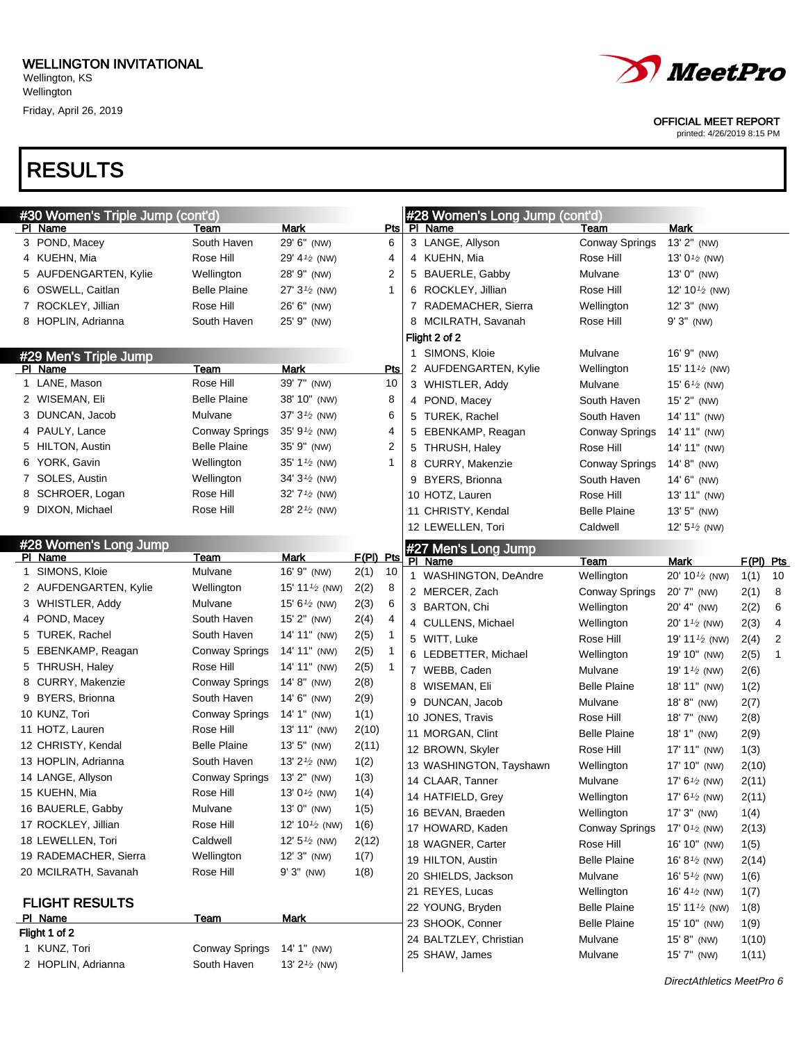

#### OFFICIAL MEET REPORT

printed: 4/26/2019 8:15 PM

| #30 Women's Triple Jump (cont'd) |                     |                                        |           |            | #28 Women's Long Jump (cont'd) |                       |                                        |            |   |
|----------------------------------|---------------------|----------------------------------------|-----------|------------|--------------------------------|-----------------------|----------------------------------------|------------|---|
| PI Name                          | Team                | <b>Mark</b>                            |           | Pts        | PI Name                        | Team                  | <b>Mark</b>                            |            |   |
| 3 POND, Macey                    | South Haven         | 29' 6" (NW)                            |           | 6          | 3 LANGE, Allyson               | <b>Conway Springs</b> | 13' 2" (NW)                            |            |   |
| 4 KUEHN, Mia                     | Rose Hill           | 29' 4 <sup>1/2</sup> (NW)              |           | 4          | 4 KUEHN, Mia                   | Rose Hill             | 13' $0\frac{1}{2}$ (NW)                |            |   |
| 5 AUFDENGARTEN, Kylie            | Wellington          | 28' 9" (NW)                            |           | 2          | 5 BAUERLE, Gabby               | Mulvane               | 13' 0" (NW)                            |            |   |
| 6 OSWELL, Caitlan                | <b>Belle Plaine</b> | 27' $3\frac{1}{2}$ (NW)                |           | 1          | 6 ROCKLEY, Jillian             | Rose Hill             | 12' 10 $\frac{1}{2}$ (NW)              |            |   |
| 7 ROCKLEY, Jillian               | Rose Hill           | 26' 6" (NW)                            |           |            | 7 RADEMACHER, Sierra           | Wellington            | $12'3''$ (NW)                          |            |   |
| 8 HOPLIN, Adrianna               | South Haven         | 25' 9" (NW)                            |           |            | 8 MCILRATH, Savanah            | Rose Hill             | $9'3''$ (NW)                           |            |   |
|                                  |                     |                                        |           |            | Flight 2 of 2                  |                       |                                        |            |   |
| #29 Men's Triple Jump            |                     |                                        |           |            | 1 SIMONS, Kloie                | Mulvane               | 16' 9" (NW)                            |            |   |
| PI Name                          | Team                | <b>Mark</b>                            |           | <b>Pts</b> | 2 AUFDENGARTEN, Kylie          | Wellington            | 15' 11 $\frac{1}{2}$ (NW)              |            |   |
| 1 LANE, Mason                    | Rose Hill           | 39' 7" (NW)                            |           | 10         | 3 WHISTLER, Addy               | Mulvane               | 15' $6\frac{1}{2}$ (NW)                |            |   |
| 2 WISEMAN, Eli                   | <b>Belle Plaine</b> | 38' 10" (NW)                           |           | 8          | 4 POND, Macey                  | South Haven           | 15' 2" (NW)                            |            |   |
| 3 DUNCAN, Jacob                  | Mulvane             | 37' 3 <sup>1/2</sup> (NW)              |           | 6          | 5 TUREK, Rachel                | South Haven           | 14' 11" (NW)                           |            |   |
| 4 PAULY, Lance                   | Conway Springs      | 35' 9 <sup>1/2</sup> (NW)              |           | 4          | 5 EBENKAMP, Reagan             | Conway Springs        | 14' 11" (NW)                           |            |   |
| 5 HILTON, Austin                 | Belle Plaine        | 35' 9" (NW)                            |           | 2          | 5 THRUSH, Haley                | Rose Hill             | 14' 11" (NW)                           |            |   |
| 6 YORK, Gavin                    | Wellington          | 35' 1 <sup><math>1/2</math></sup> (NW) |           | 1          | 8 CURRY, Makenzie              | Conway Springs        | 14' 8" (NW)                            |            |   |
| 7 SOLES, Austin                  | Wellington          | 34' 3 <sup>1/2</sup> (NW)              |           |            | 9 BYERS, Brionna               | South Haven           | 14' 6" (NW)                            |            |   |
| 8 SCHROER, Logan                 | Rose Hill           | 32' 7 <sup>1/2</sup> (NW)              |           |            | 10 HOTZ, Lauren                | Rose Hill             | 13' 11" (NW)                           |            |   |
| 9 DIXON, Michael                 | Rose Hill           | 28' 2 <sup>1/2</sup> (NW)              |           |            | 11 CHRISTY, Kendal             | <b>Belle Plaine</b>   | 13' 5" (NW)                            |            |   |
|                                  |                     |                                        |           |            | 12 LEWELLEN, Tori              | Caldwell              | 12' $5\frac{1}{2}$ (NW)                |            |   |
| #28 Women's Long Jump            |                     |                                        |           |            | #27 Men's Long Jump            |                       |                                        |            |   |
| PI Name                          | Team                | Mark                                   | F(PI) Pts |            | PI Name                        | Team                  | Mark                                   | F(PI) Pts  |   |
| 1 SIMONS, Kloie                  | Mulvane             | 16' 9" (NW)                            | 2(1)      | 10         | 1 WASHINGTON, DeAndre          | Wellington            | 20' 10 $\frac{1}{2}$ (NW)              | 1(1)<br>10 |   |
| 2 AUFDENGARTEN, Kylie            | Wellington          | 15' 11 $\frac{1}{2}$ (NW)              | 2(2)      | 8          | 2 MERCER, Zach                 | Conway Springs        | 20' 7" (NW)                            | 2(1)       | 8 |
| 3 WHISTLER, Addy                 | Mulvane             | 15' $6\frac{1}{2}$ (NW)                | 2(3)      | 6          | 3 BARTON, Chi                  | Wellington            | 20' 4" (NW)                            | 2(2)       | 6 |
| 4 POND, Macey                    | South Haven         | 15' 2" (NW)                            | 2(4)      | 4          | 4 CULLENS, Michael             | Wellington            | 20' 1 <sup><math>1/2</math></sup> (NW) | 2(3)       | 4 |
| 5 TUREK, Rachel                  | South Haven         | 14' 11" (NW)                           | 2(5)      | 1          | 5 WITT, Luke                   | Rose Hill             | 19' 11 $\frac{1}{2}$ (NW)              | 2(4)       | 2 |
| 5 EBENKAMP, Reagan               | Conway Springs      | 14' 11" (NW)                           | 2(5)      | 1          | 6 LEDBETTER, Michael           | Wellington            | 19' 10" (NW)                           | 2(5)       | 1 |
| 5 THRUSH, Haley                  | Rose Hill           | 14' 11" (NW)                           | 2(5)      | 1          | 7 WEBB, Caden                  | Mulvane               | 19' 1 <sup><math>1/2</math></sup> (NW) | 2(6)       |   |
| 8 CURRY, Makenzie                | Conway Springs      | 14' 8" (NW)                            | 2(8)      |            | 8 WISEMAN, Eli                 | <b>Belle Plaine</b>   | 18' 11" (NW)                           | 1(2)       |   |
| 9 BYERS, Brionna                 | South Haven         | $14' 6''$ (NW)                         | 2(9)      |            | 9 DUNCAN, Jacob                | Mulvane               | 18'8" (NW)                             | 2(7)       |   |
| 10 KUNZ, Tori                    | Conway Springs      | 14' 1" (NW)                            | 1(1)      |            | 10 JONES, Travis               | Rose Hill             | 18' 7" (NW)                            | 2(8)       |   |
| 11 HOTZ, Lauren                  | Rose Hill           | 13' 11" (NW)                           | 2(10)     |            | 11 MORGAN, Clint               | <b>Belle Plaine</b>   | 18' 1" (NW)                            | 2(9)       |   |
| 12 CHRISTY, Kendal               | Belle Plaine        | 13' 5" (NW)                            | 2(11)     |            | 12 BROWN, Skyler               | Rose Hill             | 17' 11" (NW)                           | 1(3)       |   |
| 13 HOPLIN, Adrianna              | South Haven         | 13' $2\frac{1}{2}$ (NW)                | 1(2)      |            | 13 WASHINGTON, Tayshawn        | Wellington            | 17' 10" (NW)                           | 2(10)      |   |
| 14 LANGE, Allyson                | Conway Springs      | 13' 2" (NW)                            | 1(3)      |            | 14 CLAAR, Tanner               | Mulvane               | 17' $6\frac{1}{2}$ (NW)                | 2(11)      |   |
| 15 KUEHN, Mia                    | Rose Hill           | 13' $0\frac{1}{2}$ (NW)                | 1(4)      |            | 14 HATFIELD, Grey              | Wellington            | 17' $6\frac{1}{2}$ (NW)                | 2(11)      |   |
| 16 BAUERLE, Gabby                | Mulvane             | 13' 0" (NW)                            | 1(5)      |            | 16 BEVAN, Braeden              | Wellington            | $17'3''$ (NW)                          | 1(4)       |   |
| 17 ROCKLEY, Jillian              | Rose Hill           | 12' 10 $\frac{1}{2}$ (NW)              | 1(6)      |            | 17 HOWARD, Kaden               | <b>Conway Springs</b> | 17' $0\frac{1}{2}$ (NW)                | 2(13)      |   |
| 18 LEWELLEN, Tori                | Caldwell            | 12' $5\frac{1}{2}$ (NW)                | 2(12)     |            | 18 WAGNER, Carter              | Rose Hill             | 16' 10" (NW)                           | 1(5)       |   |
| 19 RADEMACHER, Sierra            | Wellington          | $12'3''$ (NW)                          | 1(7)      |            | 19 HILTON, Austin              | <b>Belle Plaine</b>   | 16' $8\frac{1}{2}$ (NW)                | 2(14)      |   |
| 20 MCILRATH, Savanah             | Rose Hill           | $9'3''$ (NW)                           | 1(8)      |            | 20 SHIELDS, Jackson            | Mulvane               | 16' $5\frac{1}{2}$ (NW)                | 1(6)       |   |
|                                  |                     |                                        |           |            | 21 REYES, Lucas                | Wellington            | 16' 4 $\frac{1}{2}$ (NW)               | 1(7)       |   |
| <b>FLIGHT RESULTS</b>            |                     |                                        |           |            | 22 YOUNG, Bryden               | <b>Belle Plaine</b>   | 15' 11 <sup>1/2</sup> (NW)             | 1(8)       |   |
| PI Name                          | <b>Team</b>         | <b>Mark</b>                            |           |            | 23 SHOOK, Conner               | <b>Belle Plaine</b>   | 15' 10" (NW)                           | 1(9)       |   |
| Flight 1 of 2                    |                     |                                        |           |            | 24 BALTZLEY, Christian         | Mulvane               | 15' 8" (NW)                            | 1(10)      |   |
| 1 KUNZ, Tori                     | Conway Springs      | 14' 1" (NW)                            |           |            | 25 SHAW, James                 | Mulvane               | $15'7''$ (NW)                          | 1(11)      |   |
| 2 HOPLIN, Adrianna               | South Haven         | 13' $2\frac{1}{2}$ (NW)                |           |            |                                |                       |                                        |            |   |
|                                  |                     |                                        |           |            |                                |                       |                                        |            |   |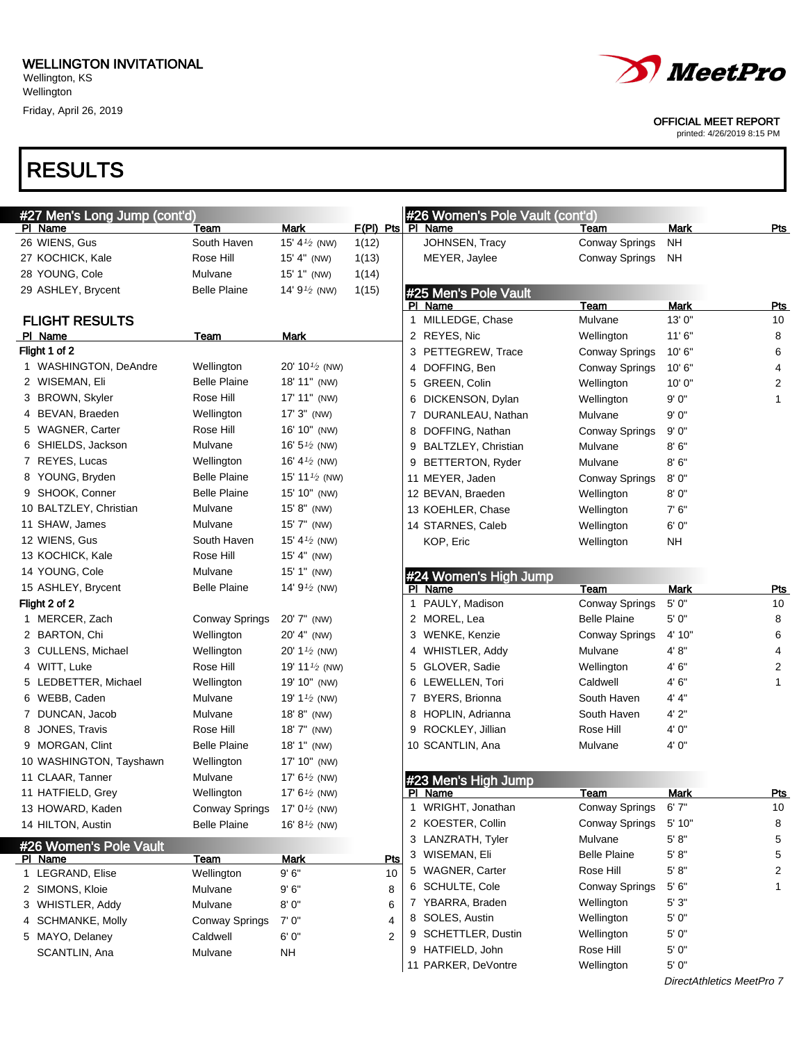

#### OFFICIAL MEET REPORT

printed: 4/26/2019 8:15 PM

| #27 Men's Long Jump (cont'd) |                       |                                        |                     |   | #26 Women's Pole Vault (cont'd)      |                       |                           |                |
|------------------------------|-----------------------|----------------------------------------|---------------------|---|--------------------------------------|-----------------------|---------------------------|----------------|
| PI Name                      | Team                  | Mark                                   | F(PI) Pts   PI Name |   |                                      | Team                  | Mark                      | <u>Pts</u>     |
| 26 WIENS, Gus                | South Haven           | 15' 4 $\frac{1}{2}$ (NW)               | 1(12)               |   | JOHNSEN, Tracy                       | <b>Conway Springs</b> | NΗ                        |                |
| 27 KOCHICK, Kale             | Rose Hill             | 15' 4" (NW)                            | 1(13)               |   | MEYER, Jaylee                        | <b>Conway Springs</b> | NΗ                        |                |
| 28 YOUNG, Cole               | Mulvane               | 15' 1" (NW)                            | 1(14)               |   |                                      |                       |                           |                |
| 29 ASHLEY, Brycent           | <b>Belle Plaine</b>   | 14' $91/2$ (NW)                        | 1(15)               |   | #25 Men's Pole Vault                 |                       |                           |                |
|                              |                       |                                        |                     |   | PI Name                              | Team                  | Mark                      | <b>Pts</b>     |
| <b>FLIGHT RESULTS</b>        |                       |                                        |                     |   | 1 MILLEDGE, Chase                    | Mulvane               | 13'0"                     | 10             |
| PI Name                      | Team                  | <u>Mark</u>                            |                     |   | 2 REYES, Nic                         | Wellington            | 11'6''                    | 8              |
| Flight 1 of 2                |                       |                                        |                     |   | 3 PETTEGREW, Trace                   | <b>Conway Springs</b> | 10'6"                     | 6              |
| 1 WASHINGTON, DeAndre        | Wellington            | 20' 10 $\frac{1}{2}$ (NW)              |                     |   | 4 DOFFING, Ben                       | <b>Conway Springs</b> | 10'6"                     | 4              |
| 2 WISEMAN, Eli               | <b>Belle Plaine</b>   | 18' 11" (NW)                           |                     |   | 5 GREEN, Colin                       | Wellington            | 10'0''                    | $\overline{c}$ |
| 3 BROWN, Skyler              | Rose Hill             | 17' 11" (NW)                           |                     | 6 | DICKENSON, Dylan                     | Wellington            | 9' 0"                     | 1              |
| 4 BEVAN, Braeden             | Wellington            | $17'3''$ (NW)                          |                     |   | 7 DURANLEAU, Nathan                  | Mulvane               | 9' 0"                     |                |
| 5 WAGNER, Carter             | Rose Hill             | 16' 10" (NW)                           |                     | 8 | DOFFING, Nathan                      | <b>Conway Springs</b> | 9'0''                     |                |
| 6 SHIELDS, Jackson           | Mulvane               | 16' $5\frac{1}{2}$ (NW)                |                     | 9 | BALTZLEY, Christian                  | Mulvane               | 8' 6"                     |                |
| 7 REYES, Lucas               | Wellington            | 16' 4 $\frac{1}{2}$ (NW)               |                     | 9 | <b>BETTERTON, Ryder</b>              | Mulvane               | 8'6''                     |                |
| 8 YOUNG, Bryden              | <b>Belle Plaine</b>   | 15' 11 $\frac{1}{2}$ (NW)              |                     |   | 11 MEYER, Jaden                      | <b>Conway Springs</b> | 8'0''                     |                |
| 9 SHOOK, Conner              | <b>Belle Plaine</b>   | 15' 10" (NW)                           |                     |   | 12 BEVAN, Braeden                    | Wellington            | 8' 0"                     |                |
| 10 BALTZLEY, Christian       | Mulvane               | 15' 8" (NW)                            |                     |   | 13 KOEHLER, Chase                    | Wellington            | 7' 6"                     |                |
| 11 SHAW, James               | Mulvane               | $15'7''$ (NW)                          |                     |   | 14 STARNES, Caleb                    | Wellington            | 6' 0"                     |                |
| 12 WIENS, Gus                | South Haven           | 15' 4 $\frac{1}{2}$ (NW)               |                     |   | KOP, Eric                            | Wellington            | NΗ                        |                |
| 13 KOCHICK, Kale             | Rose Hill             | $15' 4''$ (NW)                         |                     |   |                                      |                       |                           |                |
| 14 YOUNG, Cole               | Mulvane               | 15' 1" (NW)                            |                     |   | #24 Women's High Jump                |                       |                           |                |
| 15 ASHLEY, Brycent           | <b>Belle Plaine</b>   | 14' 9 <sup>1/2</sup> (NW)              |                     |   | PI Name                              | Team                  | Mark                      | <u>Pts</u>     |
| Flight 2 of 2                |                       |                                        |                     |   | 1 PAULY, Madison                     | <b>Conway Springs</b> | 5'0''                     | 10             |
| 1 MERCER, Zach               | Conway Springs        | 20' 7" (NW)                            |                     |   | 2 MOREL, Lea                         | <b>Belle Plaine</b>   | 5' 0"                     | 8              |
| 2 BARTON, Chi                | Wellington            | 20' 4" (NW)                            |                     |   | 3 WENKE, Kenzie                      | Conway Springs        | 4' 10"                    | 6              |
| 3 CULLENS, Michael           | Wellington            | 20' 1 <sup><math>1/2</math></sup> (NW) |                     |   | 4 WHISTLER, Addy                     | Mulvane               | 4'8"                      | 4              |
| 4 WITT, Luke                 | Rose Hill             | 19' 11 $\frac{1}{2}$ (NW)              |                     |   | 5 GLOVER, Sadie                      | Wellington            | 4' 6"                     | $\overline{c}$ |
| 5 LEDBETTER, Michael         | Wellington            | 19' 10" (NW)                           |                     |   | 6 LEWELLEN, Tori                     | Caldwell              | 4' 6"                     | 1              |
| 6 WEBB, Caden                | Mulvane               | 19' 1 <sup><math>1/2</math></sup> (NW) |                     |   | 7 BYERS, Brionna                     | South Haven           | 4' 4"                     |                |
| 7 DUNCAN, Jacob              | Mulvane               | 18' 8" (NW)                            |                     | 8 | HOPLIN, Adrianna                     | South Haven           | 4'2"                      |                |
| 8 JONES, Travis              | Rose Hill             | 18' 7" (NW)                            |                     | 9 | ROCKLEY, Jillian                     | Rose Hill             | 4' 0"                     |                |
| 9 MORGAN, Clint              | <b>Belle Plaine</b>   | 18' 1" (NW)                            |                     |   | 10 SCANTLIN, Ana                     | Mulvane               | 4' 0"                     |                |
| 10 WASHINGTON, Tayshawn      | Wellington            | 17' 10" (NW)                           |                     |   |                                      |                       |                           |                |
| 11 CLAAR, Tanner             | Mulvane               | 17' $6\frac{1}{2}$ (NW)                |                     |   | #23 Men's High Jump                  |                       |                           |                |
| 11 HATFIELD, Grey            | Wellington            | 17' 6 <sup>1/2</sup> (NW)              |                     |   | <u>PI_Name</u>                       | Team                  | <b>Mark</b>               | <u>Pts</u>     |
| 13 HOWARD, Kaden             | <b>Conway Springs</b> | 17' $0^{1/2}$ (NW)                     |                     |   | 1 WRIGHT, Jonathan                   | <b>Conway Springs</b> | 6'7''                     | 10             |
| 14 HILTON, Austin            | <b>Belle Plaine</b>   | 16' 8 $1/2$ (NW)                       |                     |   | 2 KOESTER, Collin                    | <b>Conway Springs</b> | 5'10"                     | 8              |
| #26 Women's Pole Vault       |                       |                                        |                     |   | 3 LANZRATH, Tyler                    | Mulvane               | 5' 8''                    | 5              |
| PI Name                      | <u>Team</u>           | <b>Mark</b>                            | Pts                 |   | 3 WISEMAN, Eli                       | <b>Belle Plaine</b>   | 5' 8"                     | 5              |
| 1 LEGRAND, Elise             | Wellington            | 9'6''                                  | 10                  |   | 5 WAGNER, Carter                     | Rose Hill             | 5' 8"                     | 2              |
| 2 SIMONS, Kloie              | Mulvane               | 9'6''                                  | 8                   |   | 6 SCHULTE, Cole                      | <b>Conway Springs</b> | 5'6''                     | 1              |
| 3 WHISTLER, Addy             | Mulvane               | 8'0''                                  | 6                   |   | 7 YBARRA, Braden                     | Wellington            | 5'3"                      |                |
| 4 SCHMANKE, Molly            | Conway Springs        | 7' 0"                                  | 4                   |   | 8 SOLES, Austin<br>SCHETTLER, Dustin | Wellington            | 5' 0"<br>5' 0"            |                |
| 5 MAYO, Delaney              | Caldwell              | 6' 0"                                  | 2                   | 9 | 9 HATFIELD, John                     | Wellington            | 5' 0"                     |                |
| SCANTLIN, Ana                | Mulvane               | <b>NH</b>                              |                     |   | 11 PARKER, DeVontre                  | Rose Hill             | 5' 0"                     |                |
|                              |                       |                                        |                     |   |                                      | Wellington            | DirectAthletics MeetPro 7 |                |
|                              |                       |                                        |                     |   |                                      |                       |                           |                |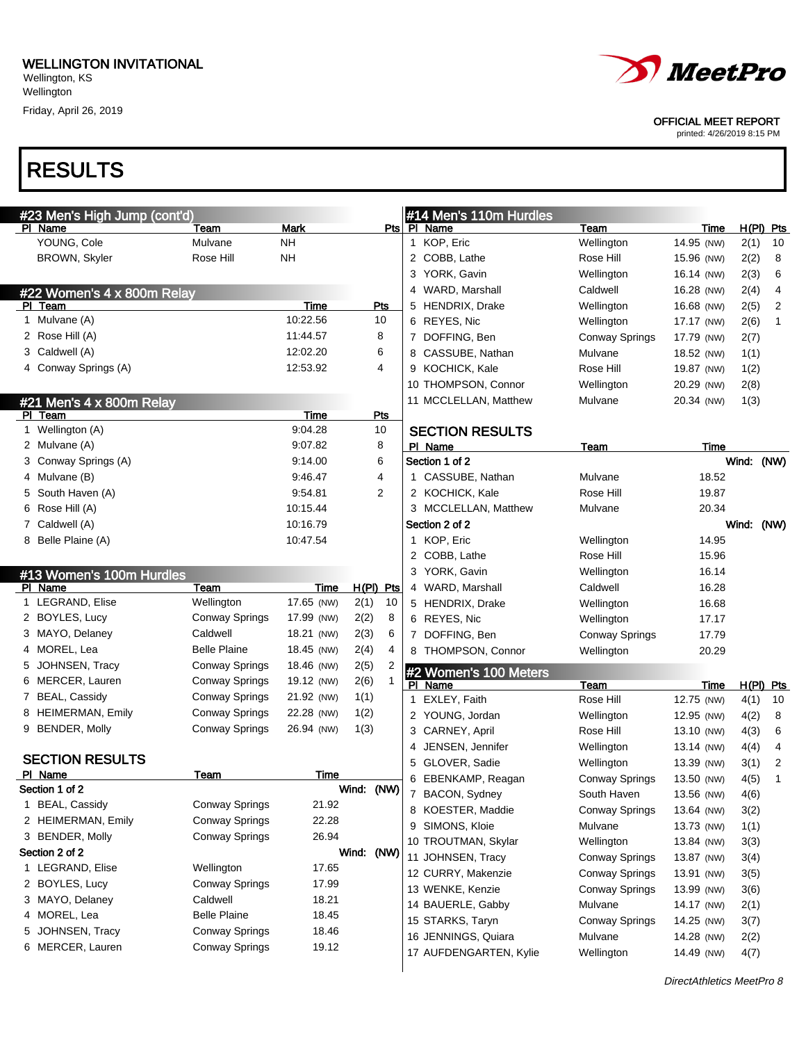Friday, April 26, 2019



#### OFFICIAL MEET REPORT

printed: 4/26/2019 8:15 PM

|    | #23 Men's High Jump (cont'd) |                       |             |             |                |   | #14 Men's 110m Hurdles           |                       |                    |             |    |
|----|------------------------------|-----------------------|-------------|-------------|----------------|---|----------------------------------|-----------------------|--------------------|-------------|----|
|    | PI Name                      | Team                  | Mark        |             |                |   | Pts   PI Name                    | Team                  | Time               | $H(PI)$ Pts |    |
|    | YOUNG, Cole                  | Mulvane               | NΗ          |             |                |   | 1 KOP, Eric                      | Wellington            | 14.95 (NW)         | 2(1)        | 10 |
|    | BROWN, Skyler                | Rose Hill             | <b>NH</b>   |             |                |   | 2 COBB, Lathe                    | Rose Hill             | 15.96 (NW)         | 2(2)        | 8  |
|    |                              |                       |             |             |                |   | 3 YORK, Gavin                    | Wellington            | 16.14 (NW)         | 2(3)        | 6  |
|    | #22 Women's 4 x 800m Relay   |                       |             |             |                |   | 4 WARD, Marshall                 | Caldwell              | 16.28 (NW)         | 2(4)        | 4  |
|    | PI Team                      |                       | Time        | Pts         |                |   | 5 HENDRIX, Drake                 | Wellington            | 16.68 (NW)         | 2(5)        | 2  |
|    | 1 Mulvane (A)                |                       | 10:22.56    | 10          |                |   | 6 REYES, Nic                     | Wellington            | 17.17 (NW)         | 2(6)        | 1  |
|    | 2 Rose Hill (A)              |                       | 11:44.57    | 8           |                |   | 7 DOFFING, Ben                   | <b>Conway Springs</b> | 17.79 (NW)         | 2(7)        |    |
|    | 3 Caldwell (A)               |                       | 12:02.20    | 6           |                |   | 8 CASSUBE, Nathan                | Mulvane               | 18.52 (NW)         | 1(1)        |    |
|    | 4 Conway Springs (A)         |                       | 12:53.92    | 4           |                |   | 9 KOCHICK, Kale                  | Rose Hill             | 19.87 (NW)         | 1(2)        |    |
|    |                              |                       |             |             |                |   | 10 THOMPSON, Connor              | Wellington            | 20.29 (NW)         | 2(8)        |    |
|    | #21 Men's 4 x 800m Relay     |                       |             |             |                |   | 11 MCCLELLAN, Matthew            | Mulvane               | 20.34 (NW)         | 1(3)        |    |
|    | PI Team                      |                       | <b>Time</b> | Pts         |                |   |                                  |                       |                    |             |    |
|    | 1 Wellington (A)             |                       | 9:04.28     | 10          |                |   | <b>SECTION RESULTS</b>           |                       |                    |             |    |
|    | 2 Mulvane (A)                |                       | 9:07.82     | 8           |                |   | PI Name                          | Team                  | Time               |             |    |
|    | 3 Conway Springs (A)         |                       | 9:14.00     | 6           |                |   | Section 1 of 2                   |                       |                    | Wind: (NW)  |    |
|    | 4 Mulvane (B)                |                       | 9:46.47     | 4           |                |   | 1 CASSUBE, Nathan                | Mulvane               | 18.52              |             |    |
|    | 5 South Haven (A)            |                       | 9.54.81     | 2           |                |   | 2 KOCHICK, Kale                  | Rose Hill             | 19.87              |             |    |
| 6. | Rose Hill (A)                |                       | 10:15.44    |             |                |   | 3 MCCLELLAN, Matthew             | Mulvane               | 20.34              |             |    |
| 7. | Caldwell (A)                 |                       | 10:16.79    |             |                |   | Section 2 of 2                   |                       |                    | Wind: (NW)  |    |
|    | 8 Belle Plaine (A)           |                       | 10:47.54    |             |                |   | 1 KOP, Eric                      | Wellington            | 14.95              |             |    |
|    |                              |                       |             |             |                |   | 2 COBB, Lathe                    | Rose Hill             | 15.96              |             |    |
|    | #13 Women's 100m Hurdles     |                       |             |             |                |   | 3 YORK, Gavin                    | Wellington            | 16.14              |             |    |
|    | PI Name                      | Team                  | Time        | $H(PI)$ Pts |                |   | 4 WARD, Marshall                 | Caldwell              | 16.28              |             |    |
|    | 1 LEGRAND, Elise             | Wellington            | 17.65 (NW)  | 2(1)        | 10             |   | 5 HENDRIX, Drake                 | Wellington            | 16.68              |             |    |
|    | 2 BOYLES, Lucy               | Conway Springs        | 17.99 (NW)  | 2(2)        | 8              |   | 6 REYES, Nic                     | Wellington            | 17.17              |             |    |
|    | 3 MAYO, Delaney              | Caldwell              | 18.21 (NW)  | 2(3)        | 6              |   | 7 DOFFING, Ben                   | <b>Conway Springs</b> | 17.79              |             |    |
|    | 4 MOREL, Lea                 | <b>Belle Plaine</b>   | 18.45 (NW)  | 2(4)        | 4              |   | 8 THOMPSON, Connor               | Wellington            | 20.29              |             |    |
|    | 5 JOHNSEN, Tracy             | <b>Conway Springs</b> | 18.46 (NW)  | 2(5)        | $\overline{2}$ |   |                                  |                       |                    |             |    |
|    | 6 MERCER, Lauren             | <b>Conway Springs</b> | 19.12 (NW)  | 2(6)        | $\mathbf{1}$   |   | #2 Women's 100 Meters<br>PI Name |                       |                    | H(PI) Pts   |    |
|    | 7 BEAL, Cassidy              | <b>Conway Springs</b> | 21.92 (NW)  | 1(1)        |                |   | 1 EXLEY, Faith                   | Team<br>Rose Hill     | Time<br>12.75 (NW) | 4(1)        | 10 |
|    | 8 HEIMERMAN, Emily           | <b>Conway Springs</b> | 22.28 (NW)  | 1(2)        |                |   | 2 YOUNG, Jordan                  | Wellington            | 12.95 (NW)         |             | 8  |
|    | 9 BENDER, Molly              | <b>Conway Springs</b> | 26.94 (NW)  | 1(3)        |                |   | 3 CARNEY, April                  | Rose Hill             |                    | 4(2)        | 6  |
|    |                              |                       |             |             |                |   | JENSEN, Jennifer                 |                       | 13.10 (NW)         | 4(3)        | 4  |
|    | <b>SECTION RESULTS</b>       |                       |             |             |                | 4 |                                  | Wellington            | 13.14 (NW)         | 4(4)        |    |
|    | PI Name                      | Team                  | Time        |             |                | 5 | GLOVER, Sadie                    | Wellington            | 13.39 (NW)         | 3(1)        | 2  |
|    | Section 1 of 2               |                       |             | Wind: (NW)  |                |   | 6 EBENKAMP, Reagan               | <b>Conway Springs</b> | 13.50 (NW)         | 4(5)        | 1  |
|    | 1 BEAL, Cassidy              | <b>Conway Springs</b> | 21.92       |             |                |   | 7 BACON, Sydney                  | South Haven           | 13.56 (NW)         | 4(6)        |    |
|    | 2 HEIMERMAN, Emily           | <b>Conway Springs</b> | 22.28       |             |                |   | 8 KOESTER, Maddie                | <b>Conway Springs</b> | 13.64 (NW)         | 3(2)        |    |
|    | 3 BENDER, Molly              | Conway Springs        | 26.94       |             |                | 9 | SIMONS, Kloie                    | Mulvane               | 13.73 (NW)         | 1(1)        |    |
|    | Section 2 of 2               |                       |             | Wind: (NW)  |                |   | 10 TROUTMAN, Skylar              | Wellington            | 13.84 (NW)         | 3(3)        |    |
|    | 1 LEGRAND, Elise             | Wellington            | 17.65       |             |                |   | 11 JOHNSEN, Tracy                | <b>Conway Springs</b> | 13.87 (NW)         | 3(4)        |    |
|    | 2 BOYLES, Lucy               | <b>Conway Springs</b> | 17.99       |             |                |   | 12 CURRY, Makenzie               | <b>Conway Springs</b> | 13.91 (NW)         | 3(5)        |    |
|    | 3 MAYO, Delaney              | Caldwell              | 18.21       |             |                |   | 13 WENKE, Kenzie                 | <b>Conway Springs</b> | 13.99 (NW)         | 3(6)        |    |
|    | 4 MOREL, Lea                 | <b>Belle Plaine</b>   | 18.45       |             |                |   | 14 BAUERLE, Gabby                | Mulvane               | 14.17 (NW)         | 2(1)        |    |
| 5. | JOHNSEN, Tracy               | <b>Conway Springs</b> | 18.46       |             |                |   | 15 STARKS, Taryn                 | <b>Conway Springs</b> | 14.25 (NW)         | 3(7)        |    |
|    | 6 MERCER, Lauren             | Conway Springs        | 19.12       |             |                |   | 16 JENNINGS, Quiara              | Mulvane               | 14.28 (NW)         | 2(2)        |    |
|    |                              |                       |             |             |                |   | 17 AUFDENGARTEN, Kylie           | Wellington            | 14.49 (NW)         | 4(7)        |    |
|    |                              |                       |             |             |                |   |                                  |                       |                    |             |    |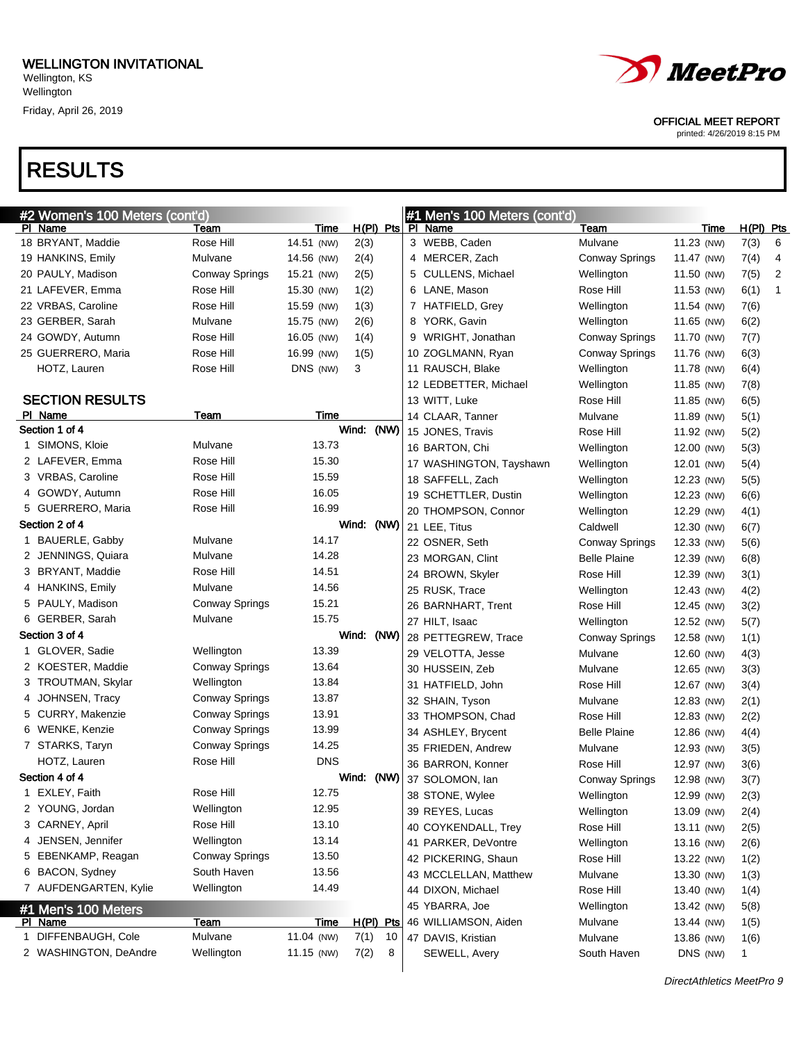## RESULTS

|  | <i>MeetPro</i> |
|--|----------------|
|--|----------------|

OFFICIAL MEET REPORT

|   | #2 Women's 100 Meters (cont'd) |                       |             |             |    | #1 Men's 100 Meters (cont'd) |                       |            |              |                |
|---|--------------------------------|-----------------------|-------------|-------------|----|------------------------------|-----------------------|------------|--------------|----------------|
|   | PI Name                        | Team                  | Time        |             |    | H(PI) Pts PI Name            | Team                  | Time       | H(PI) Pts    |                |
|   | 18 BRYANT, Maddie              | Rose Hill             | 14.51 (NW)  | 2(3)        |    | 3 WEBB, Caden                | Mulvane               | 11.23 (NW) | 7(3)         | 6              |
|   | 19 HANKINS, Emily              | Mulvane               | 14.56 (NW)  | 2(4)        |    | 4 MERCER, Zach               | <b>Conway Springs</b> | 11.47 (NW) | 7(4)         | 4              |
|   | 20 PAULY, Madison              | <b>Conway Springs</b> | 15.21 (NW)  | 2(5)        |    | 5 CULLENS, Michael           | Wellington            | 11.50 (NW) | 7(5)         | $\overline{2}$ |
|   | 21 LAFEVER, Emma               | Rose Hill             | 15.30 (NW)  | 1(2)        |    | 6 LANE, Mason                | Rose Hill             | 11.53 (NW) | 6(1)         | 1              |
|   | 22 VRBAS, Caroline             | Rose Hill             | 15.59 (NW)  | 1(3)        |    | 7 HATFIELD, Grey             | Wellington            | 11.54 (NW) | 7(6)         |                |
|   | 23 GERBER, Sarah               | Mulvane               | 15.75 (NW)  | 2(6)        |    | 8 YORK, Gavin                | Wellington            | 11.65 (NW) | 6(2)         |                |
|   | 24 GOWDY, Autumn               | Rose Hill             | 16.05 (NW)  | 1(4)        |    | 9 WRIGHT, Jonathan           | Conway Springs        | 11.70 (NW) | 7(7)         |                |
|   | 25 GUERRERO, Maria             | Rose Hill             | 16.99 (NW)  | 1(5)        |    | 10 ZOGLMANN, Ryan            | <b>Conway Springs</b> | 11.76 (NW) | 6(3)         |                |
|   | HOTZ, Lauren                   | Rose Hill             | DNS (NW)    | 3           |    | 11 RAUSCH, Blake             | Wellington            | 11.78 (NW) | 6(4)         |                |
|   |                                |                       |             |             |    | 12 LEDBETTER, Michael        | Wellington            | 11.85 (NW) | 7(8)         |                |
|   | <b>SECTION RESULTS</b>         |                       |             |             |    | 13 WITT, Luke                | Rose Hill             | 11.85 (NW) | 6(5)         |                |
|   | PI Name                        | Team                  | Time        |             |    | 14 CLAAR, Tanner             | Mulvane               | 11.89 (NW) | 5(1)         |                |
|   | Section 1 of 4                 |                       |             | Wind: (NW)  |    | 15 JONES, Travis             | Rose Hill             | 11.92 (NW) | 5(2)         |                |
|   | 1 SIMONS, Kloie                | Mulvane               | 13.73       |             |    | 16 BARTON, Chi               | Wellington            | 12.00 (NW) | 5(3)         |                |
|   | 2 LAFEVER, Emma                | Rose Hill             | 15.30       |             |    | 17 WASHINGTON, Tayshawn      | Wellington            | 12.01 (NW) | 5(4)         |                |
|   | 3 VRBAS, Caroline              | Rose Hill             | 15.59       |             |    | 18 SAFFELL, Zach             | Wellington            | 12.23 (NW) | 5(5)         |                |
|   | 4 GOWDY, Autumn                | Rose Hill             | 16.05       |             |    | 19 SCHETTLER, Dustin         | Wellington            | 12.23 (NW) | 6(6)         |                |
|   | 5 GUERRERO, Maria              | Rose Hill             | 16.99       |             |    | 20 THOMPSON, Connor          | Wellington            | 12.29 (NW) | 4(1)         |                |
|   | Section 2 of 4                 |                       |             | Wind: (NW)  |    | 21 LEE, Titus                | Caldwell              | 12.30 (NW) | 6(7)         |                |
|   | 1 BAUERLE, Gabby               | Mulvane               | 14.17       |             |    | 22 OSNER, Seth               | Conway Springs        | 12.33 (NW) | 5(6)         |                |
|   | 2 JENNINGS, Quiara             | Mulvane               | 14.28       |             |    | 23 MORGAN, Clint             | <b>Belle Plaine</b>   | 12.39 (NW) | 6(8)         |                |
|   | 3 BRYANT, Maddie               | Rose Hill             | 14.51       |             |    | 24 BROWN, Skyler             | Rose Hill             | 12.39 (NW) | 3(1)         |                |
|   | 4 HANKINS, Emily               | Mulvane               | 14.56       |             |    | 25 RUSK, Trace               | Wellington            | 12.43 (NW) | 4(2)         |                |
|   | 5 PAULY, Madison               | <b>Conway Springs</b> | 15.21       |             |    | 26 BARNHART, Trent           | Rose Hill             | 12.45 (NW) | 3(2)         |                |
|   | 6 GERBER, Sarah                | Mulvane               | 15.75       |             |    | 27 HILT, Isaac               | Wellington            | 12.52 (NW) | 5(7)         |                |
|   | Section 3 of 4                 |                       |             | Wind: (NW)  |    | 28 PETTEGREW, Trace          | Conway Springs        | 12.58 (NW) | 1(1)         |                |
|   | 1 GLOVER, Sadie                | Wellington            | 13.39       |             |    | 29 VELOTTA, Jesse            | Mulvane               | 12.60 (NW) | 4(3)         |                |
|   | 2 KOESTER, Maddie              | <b>Conway Springs</b> | 13.64       |             |    | 30 HUSSEIN, Zeb              | Mulvane               | 12.65 (NW) | 3(3)         |                |
|   | 3 TROUTMAN, Skylar             | Wellington            | 13.84       |             |    | 31 HATFIELD, John            | Rose Hill             | 12.67 (NW) | 3(4)         |                |
|   | 4 JOHNSEN, Tracy               | Conway Springs        | 13.87       |             |    | 32 SHAIN, Tyson              | Mulvane               | 12.83 (NW) | 2(1)         |                |
|   | 5 CURRY, Makenzie              | Conway Springs        | 13.91       |             |    | 33 THOMPSON, Chad            | Rose Hill             | 12.83 (NW) | 2(2)         |                |
|   | 6 WENKE, Kenzie                | Conway Springs        | 13.99       |             |    | 34 ASHLEY, Brycent           | <b>Belle Plaine</b>   | 12.86 (NW) | 4(4)         |                |
|   | 7 STARKS, Taryn                | Conway Springs        | 14.25       |             |    | 35 FRIEDEN, Andrew           | Mulvane               | 12.93 (NW) | 3(5)         |                |
|   | HOTZ, Lauren                   | Rose Hill             | <b>DNS</b>  |             |    | 36 BARRON, Konner            | Rose Hill             | 12.97 (NW) | 3(6)         |                |
|   | Section 4 of 4                 |                       |             | Wind: (NW)  |    | 37 SOLOMON, lan              | <b>Conway Springs</b> | 12.98 (NW) | 3(7)         |                |
|   | 1 EXLEY, Faith                 | Rose Hill             | 12.75       |             |    | 38 STONE, Wylee              | Wellington            | 12.99 (NW) | 2(3)         |                |
|   | 2 YOUNG, Jordan                | Wellington            | 12.95       |             |    | 39 REYES, Lucas              | Wellington            | 13.09 (NW) | 2(4)         |                |
|   | 3 CARNEY, April                | Rose Hill             | 13.10       |             |    | 40 COYKENDALL, Trey          | Rose Hill             | 13.11 (NW) | 2(5)         |                |
|   | 4 JENSEN, Jennifer             | Wellington            | 13.14       |             |    | 41 PARKER, DeVontre          | Wellington            | 13.16 (NW) | 2(6)         |                |
|   | 5 EBENKAMP, Reagan             | Conway Springs        | 13.50       |             |    | 42 PICKERING, Shaun          | Rose Hill             | 13.22 (NW) | 1(2)         |                |
|   | 6 BACON, Sydney                | South Haven           | 13.56       |             |    | 43 MCCLELLAN, Matthew        | Mulvane               | 13.30 (NW) | 1(3)         |                |
|   | 7 AUFDENGARTEN, Kylie          | Wellington            | 14.49       |             |    | 44 DIXON, Michael            | Rose Hill             | 13.40 (NW) | 1(4)         |                |
|   | #1 Men's 100 Meters            |                       |             |             |    | 45 YBARRA, Joe               | Wellington            | 13.42 (NW) | 5(8)         |                |
|   | PI Name                        | <b>Team</b>           | <b>Time</b> | $H(PI)$ Pts |    | 46 WILLIAMSON, Aiden         | Mulvane               | 13.44 (NW) | 1(5)         |                |
| 1 | DIFFENBAUGH, Cole              | Mulvane               | 11.04 (NW)  | 7(1)        | 10 | 47 DAVIS, Kristian           | Mulvane               | 13.86 (NW) | 1(6)         |                |
|   | 2 WASHINGTON, DeAndre          | Wellington            | 11.15 (NW)  | 7(2)        | 8  | SEWELL, Avery                | South Haven           | DNS (NW)   | $\mathbf{1}$ |                |
|   |                                |                       |             |             |    |                              |                       |            |              |                |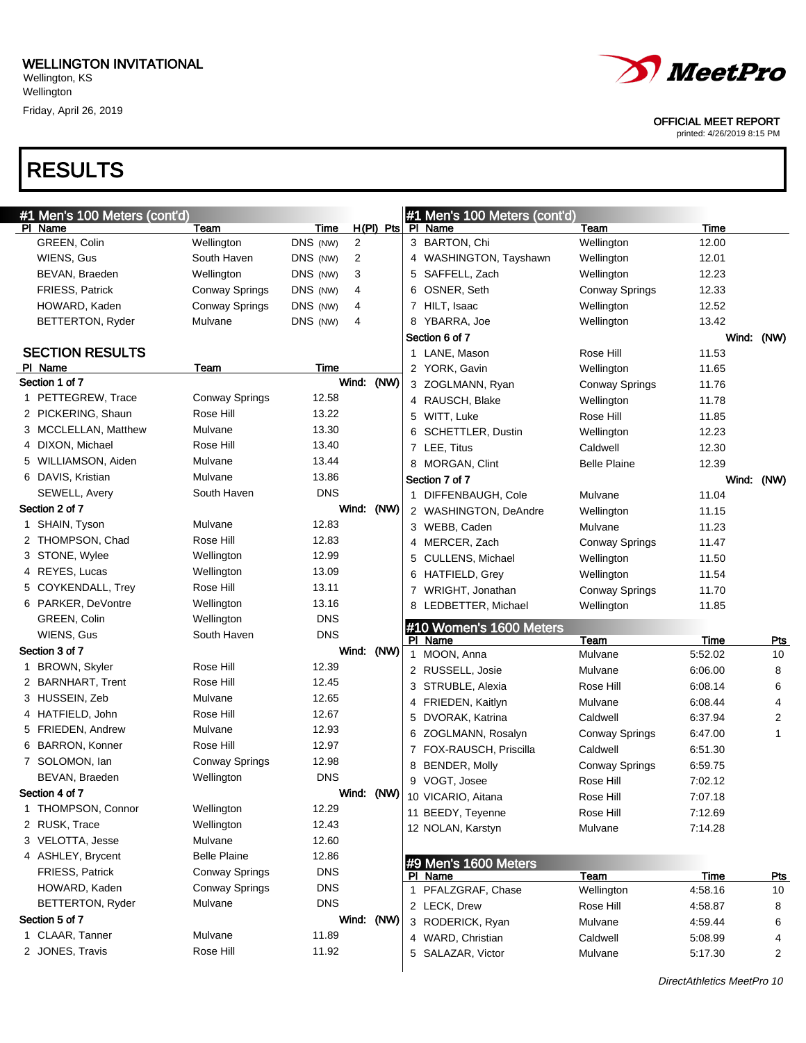**Wellington** 

Friday, April 26, 2019

## RESULTS

| #1 Men's 100 Meters (cont'd)       |                                                |            |                |   | #1 Men's 100 Meters (cont'd)           |                       |                    |            |
|------------------------------------|------------------------------------------------|------------|----------------|---|----------------------------------------|-----------------------|--------------------|------------|
| PI Name                            | Team                                           | Time       | $H(PI)$ Pts    |   | PI Name                                | Team                  | Time               |            |
| GREEN, Colin                       | Wellington                                     | DNS (NW)   | $\overline{2}$ |   | 3 BARTON, Chi                          | Wellington            | 12.00              |            |
| WIENS, Gus                         | South Haven                                    | DNS (NW)   | 2              |   | 4 WASHINGTON, Tayshawn                 | Wellington            | 12.01              |            |
| BEVAN, Braeden                     | Wellington                                     | DNS (NW)   | 3              |   | 5 SAFFELL, Zach                        | Wellington            | 12.23              |            |
| FRIESS, Patrick                    | <b>Conway Springs</b>                          | DNS (NW)   | 4              |   | 6 OSNER, Seth                          | <b>Conway Springs</b> | 12.33              |            |
| HOWARD, Kaden                      | <b>Conway Springs</b>                          | DNS (NW)   | 4              |   | 7 HILT, Isaac                          | Wellington            | 12.52              |            |
| BETTERTON, Ryder                   | Mulvane                                        | DNS (NW)   | 4              |   | 8 YBARRA, Joe                          | Wellington            | 13.42              |            |
|                                    |                                                |            |                |   | Section 6 of 7                         |                       |                    | Wind: (NW) |
| <b>SECTION RESULTS</b>             |                                                |            |                |   | 1 LANE, Mason                          | Rose Hill             | 11.53              |            |
| PI Name                            | Team                                           | Time       |                |   | 2 YORK, Gavin                          | Wellington            | 11.65              |            |
| Section 1 of 7                     |                                                |            | Wind:<br>(NW)  |   | 3 ZOGLMANN, Ryan                       | <b>Conway Springs</b> | 11.76              |            |
| 1 PETTEGREW, Trace                 | <b>Conway Springs</b>                          | 12.58      |                |   | 4 RAUSCH, Blake                        | Wellington            | 11.78              |            |
| 2 PICKERING, Shaun                 | Rose Hill                                      | 13.22      |                |   | 5 WITT, Luke                           | Rose Hill             | 11.85              |            |
| 3 MCCLELLAN, Matthew               | Mulvane                                        | 13.30      |                |   | 6 SCHETTLER, Dustin                    | Wellington            | 12.23              |            |
| 4 DIXON, Michael                   | Rose Hill                                      | 13.40      |                |   | 7 LEE, Titus                           | Caldwell              | 12.30              |            |
| 5 WILLIAMSON, Aiden                | Mulvane                                        | 13.44      |                |   | 8 MORGAN, Clint                        | <b>Belle Plaine</b>   | 12.39              |            |
| 6 DAVIS, Kristian                  | Mulvane                                        | 13.86      |                |   | Section 7 of 7                         |                       |                    | Wind: (NW) |
| <b>SEWELL, Avery</b>               | South Haven                                    | <b>DNS</b> |                |   | 1 DIFFENBAUGH, Cole                    | Mulvane               | 11.04              |            |
| Section 2 of 7                     |                                                |            | Wind:<br>(NW)  |   | 2 WASHINGTON, DeAndre                  | Wellington            | 11.15              |            |
| 1 SHAIN, Tyson                     | Mulvane                                        | 12.83      |                |   | 3 WEBB, Caden                          | Mulvane               | 11.23              |            |
| 2 THOMPSON, Chad                   | Rose Hill                                      | 12.83      |                |   | 4 MERCER, Zach                         | <b>Conway Springs</b> | 11.47              |            |
| 3 STONE, Wylee                     | Wellington                                     | 12.99      |                |   | 5 CULLENS, Michael                     | Wellington            | 11.50              |            |
| 4 REYES, Lucas                     | Wellington                                     | 13.09      |                |   | 6 HATFIELD, Grey                       | Wellington            | 11.54              |            |
| 5 COYKENDALL, Trey                 | Rose Hill                                      | 13.11      |                |   | 7 WRIGHT, Jonathan                     | <b>Conway Springs</b> | 11.70              |            |
|                                    |                                                |            |                |   |                                        |                       |                    |            |
| 6 PARKER, DeVontre                 | Wellington                                     | 13.16      |                |   |                                        |                       |                    |            |
| GREEN, Colin                       | Wellington                                     | <b>DNS</b> |                |   | 8 LEDBETTER, Michael                   | Wellington            | 11.85              |            |
| WIENS, Gus                         | South Haven                                    | <b>DNS</b> |                |   | #10 Women's 1600 Meters                |                       |                    |            |
| Section 3 of 7                     |                                                |            | Wind: (NW)     |   | PI Name                                | Team                  | Time               | <u>Pts</u> |
| 1 BROWN, Skyler                    | Rose Hill                                      | 12.39      |                |   | 1 MOON, Anna                           | Mulvane               | 5:52.02            | 10         |
| 2 BARNHART, Trent                  | Rose Hill                                      | 12.45      |                |   | 2 RUSSELL, Josie                       | Mulvane               | 6:06.00            | 8          |
| 3 HUSSEIN, Zeb                     | Mulvane                                        | 12.65      |                |   | 3 STRUBLE, Alexia                      | Rose Hill             | 6:08.14            | 6          |
| 4 HATFIELD, John                   | Rose Hill                                      | 12.67      |                |   | 4 FRIEDEN, Kaitlyn                     | Mulvane               | 6:08.44            | 4          |
| 5 FRIEDEN, Andrew                  | Mulvane                                        | 12.93      |                | 5 | DVORAK, Katrina                        | Caldwell              | 6:37.94            | 2          |
| 6 BARRON, Konner                   | Rose Hill                                      | 12.97      |                | 6 | ZOGLMANN, Rosalyn                      | <b>Conway Springs</b> | 6:47.00            | 1          |
| 7 SOLOMON, lan                     | <b>Conway Springs</b>                          | 12.98      |                | 7 | FOX-RAUSCH, Priscilla                  | Caldwell              | 6:51.30            |            |
| BEVAN, Braeden                     | Wellington                                     | <b>DNS</b> |                | 8 | <b>BENDER, Molly</b>                   | <b>Conway Springs</b> | 6:59.75            |            |
| Section 4 of 7                     |                                                |            |                |   | 9 VOGT, Josee                          | Rose Hill             | 7:02.12            |            |
| 1 THOMPSON, Connor                 | Wellington                                     | 12.29      | Wind: (NW)     |   | 10 VICARIO, Aitana                     | Rose Hill             | 7:07.18            |            |
| 2 RUSK, Trace                      | Wellington                                     | 12.43      |                |   | 11 BEEDY, Teyenne                      | Rose Hill             | 7:12.69            |            |
| 3 VELOTTA, Jesse                   | Mulvane                                        | 12.60      |                |   | 12 NOLAN, Karstyn                      | Mulvane               | 7:14.28            |            |
| 4 ASHLEY, Brycent                  | <b>Belle Plaine</b>                            | 12.86      |                |   |                                        |                       |                    |            |
| FRIESS, Patrick                    |                                                | <b>DNS</b> |                |   | #9 Men's 1600 Meters                   |                       |                    |            |
| HOWARD, Kaden                      | <b>Conway Springs</b><br><b>Conway Springs</b> | <b>DNS</b> |                |   | PI Name                                | Team                  | Time               | <b>Pts</b> |
|                                    | Mulvane                                        | <b>DNS</b> |                |   | 1 PFALZGRAF, Chase                     | Wellington            | 4:58.16            | 10         |
| BETTERTON, Ryder                   |                                                |            |                |   | 2 LECK, Drew                           | Rose Hill             | 4:58.87            | 8          |
| Section 5 of 7                     | Mulvane                                        | 11.89      | Wind: (NW)     |   | 3 RODERICK, Ryan                       | Mulvane               | 4:59.44            | 6          |
| 1 CLAAR, Tanner<br>2 JONES, Travis | Rose Hill                                      | 11.92      |                |   | 4 WARD, Christian<br>5 SALAZAR, Victor | Caldwell<br>Mulvane   | 5:08.99<br>5:17.30 | 4<br>2     |

OFFICIAL MEET REPORT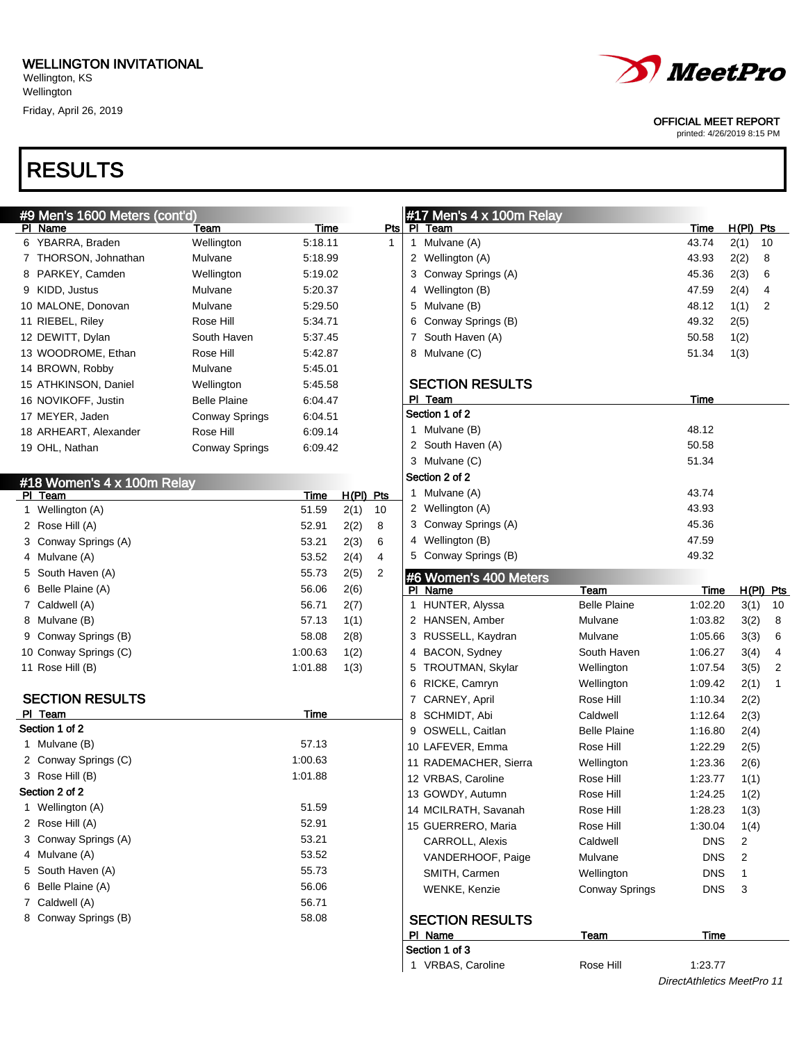Friday, April 26, 2019

## RESULTS

|  | <i>MeetPro</i> |
|--|----------------|
|--|----------------|

#### OFFICIAL MEET REPORT

printed: 4/26/2019 8:15 PM

DirectAthletics MeetPro 11

| #9 Men's 1600 Meters (cont'd)      |                       |         |             |     | #17 Men's $4 \times 100$ m Relay |                       |             |             |             |
|------------------------------------|-----------------------|---------|-------------|-----|----------------------------------|-----------------------|-------------|-------------|-------------|
| PI Name                            | Team                  | Time    |             | Pts | PI Team                          |                       | Time        | $H(PI)$ Pts |             |
| 6 YBARRA, Braden                   | Wellington            | 5:18.11 |             | 1   | 1 Mulvane (A)                    |                       | 43.74       | 2(1)        | 10          |
| 7 THORSON, Johnathan               | Mulvane               | 5:18.99 |             |     | 2 Wellington (A)                 |                       | 43.93       | 2(2)        | 8           |
| 8 PARKEY, Camden                   | Wellington            | 5:19.02 |             |     | 3 Conway Springs (A)             |                       | 45.36       | 2(3)        | 6           |
| 9 KIDD, Justus                     | Mulvane               | 5:20.37 |             |     | 4 Wellington (B)                 |                       | 47.59       | 2(4)        | 4           |
| 10 MALONE, Donovan                 | Mulvane               | 5:29.50 |             |     | 5 Mulvane (B)                    |                       | 48.12       | 1(1)        | 2           |
| 11 RIEBEL, Riley                   | Rose Hill             | 5:34.71 |             |     | 6 Conway Springs (B)             |                       | 49.32       | 2(5)        |             |
| 12 DEWITT, Dylan                   | South Haven           | 5:37.45 |             |     | 7 South Haven (A)                |                       | 50.58       | 1(2)        |             |
| 13 WOODROME, Ethan                 | Rose Hill             | 5:42.87 |             |     | 8 Mulvane (C)                    |                       | 51.34       | 1(3)        |             |
| 14 BROWN, Robby                    | Mulvane               | 5:45.01 |             |     |                                  |                       |             |             |             |
| 15 ATHKINSON, Daniel               | Wellington            | 5:45.58 |             |     | <b>SECTION RESULTS</b>           |                       |             |             |             |
| 16 NOVIKOFF, Justin                | <b>Belle Plaine</b>   | 6:04.47 |             |     | PI Team                          |                       | Time        |             |             |
| 17 MEYER, Jaden                    | <b>Conway Springs</b> | 6:04.51 |             |     | Section 1 of 2                   |                       |             |             |             |
| 18 ARHEART, Alexander              | Rose Hill             | 6:09.14 |             |     | 1 Mulvane (B)                    |                       | 48.12       |             |             |
| 19 OHL, Nathan                     | <b>Conway Springs</b> | 6:09.42 |             |     | 2 South Haven (A)                |                       | 50.58       |             |             |
|                                    |                       |         |             |     | 3 Mulvane (C)                    |                       | 51.34       |             |             |
| #18 Women's 4 x 100m Relay         |                       |         |             |     | Section 2 of 2                   |                       |             |             |             |
| PI Team                            |                       | Time    | $H(PI)$ Pts |     | 1 Mulvane (A)                    |                       | 43.74       |             |             |
| 1 Wellington (A)                   |                       | 51.59   | 2(1)        | 10  | 2 Wellington (A)                 |                       | 43.93       |             |             |
| 2 Rose Hill (A)                    |                       | 52.91   | 2(2)        | 8   | 3 Conway Springs (A)             |                       | 45.36       |             |             |
| 3 Conway Springs (A)               |                       | 53.21   | 2(3)        | 6   | 4 Wellington (B)                 |                       | 47.59       |             |             |
| 4 Mulvane (A)                      |                       | 53.52   | 2(4)        | 4   | 5 Conway Springs (B)             |                       | 49.32       |             |             |
| 5 South Haven (A)                  |                       | 55.73   | 2(5)        | 2   |                                  |                       |             |             |             |
| 6 Belle Plaine (A)                 |                       | 56.06   | 2(6)        |     | #6 Women's 400 Meters<br>PI Name | Team                  | <b>Time</b> |             | $H(PI)$ Pts |
| 7 Caldwell (A)                     |                       | 56.71   | 2(7)        |     | 1 HUNTER, Alyssa                 | <b>Belle Plaine</b>   | 1:02.20     | 3(1)        | 10          |
| 8 Mulvane (B)                      |                       | 57.13   | 1(1)        |     | 2 HANSEN, Amber                  | Mulvane               | 1:03.82     | 3(2)        | 8           |
| 9 Conway Springs (B)               |                       | 58.08   | 2(8)        |     | 3 RUSSELL, Kaydran               | Mulvane               | 1:05.66     | 3(3)        | 6           |
| 10 Conway Springs (C)              |                       | 1:00.63 | 1(2)        |     | 4 BACON, Sydney                  | South Haven           | 1:06.27     | 3(4)        | 4           |
| 11 Rose Hill (B)                   |                       | 1:01.88 | 1(3)        |     | 5 TROUTMAN, Skylar               | Wellington            | 1:07.54     | 3(5)        | 2           |
|                                    |                       |         |             |     | 6 RICKE, Camryn                  | Wellington            | 1:09.42     | 2(1)        | 1           |
| <b>SECTION RESULTS</b>             |                       |         |             |     | 7 CARNEY, April                  | Rose Hill             | 1:10.34     | 2(2)        |             |
| PI Team                            |                       | Time    |             |     | 8 SCHMIDT, Abi                   | Caldwell              | 1:12.64     | 2(3)        |             |
| Section 1 of 2                     |                       |         |             |     | 9 OSWELL, Caitlan                | <b>Belle Plaine</b>   | 1:16.80     |             |             |
| 1 Mulvane (B)                      |                       | 57.13   |             |     | 10 LAFEVER, Emma                 | Rose Hill             | 1:22.29     | 2(4)        |             |
| 2 Conway Springs (C)               |                       | 1:00.63 |             |     | 11 RADEMACHER, Sierra            |                       |             | 2(5)        |             |
| 3 Rose Hill (B)                    |                       | 1:01.88 |             |     |                                  | Wellington            | 1:23.36     | 2(6)        |             |
| Section 2 of 2                     |                       |         |             |     | 12 VRBAS, Caroline               | Rose Hill             | 1:23.77     | 1(1)        |             |
| 1 Wellington (A)                   |                       | 51.59   |             |     | 13 GOWDY, Autumn                 | Rose Hill             | 1:24.25     | 1(2)        |             |
| 2 Rose Hill (A)                    |                       | 52.91   |             |     | 14 MCILRATH, Savanah             | Rose Hill             | 1:28.23     | 1(3)        |             |
| 3 Conway Springs (A)               |                       | 53.21   |             |     | 15 GUERRERO, Maria               | Rose Hill             | 1:30.04     | 1(4)        |             |
|                                    |                       | 53.52   |             |     | CARROLL, Alexis                  | Caldwell              | <b>DNS</b>  | 2           |             |
| 4 Mulvane (A)<br>5 South Haven (A) |                       |         |             |     | VANDERHOOF, Paige                | Mulvane               | <b>DNS</b>  | 2           |             |
| 6 Belle Plaine (A)                 |                       | 55.73   |             |     | SMITH, Carmen                    | Wellington            | <b>DNS</b>  | 1           |             |
|                                    |                       | 56.06   |             |     | WENKE, Kenzie                    | <b>Conway Springs</b> | <b>DNS</b>  | 3           |             |
| 7 Caldwell (A)                     |                       | 56.71   |             |     |                                  |                       |             |             |             |
| 8 Conway Springs (B)               |                       | 58.08   |             |     | <b>SECTION RESULTS</b>           |                       |             |             |             |
|                                    |                       |         |             |     | PI Name                          | <b>Team</b>           | <b>Time</b> |             |             |
|                                    |                       |         |             |     | Section 1 of 3                   |                       |             |             |             |
|                                    |                       |         |             |     | 1 VRBAS, Caroline                | Rose Hill             | 1:23.77     |             |             |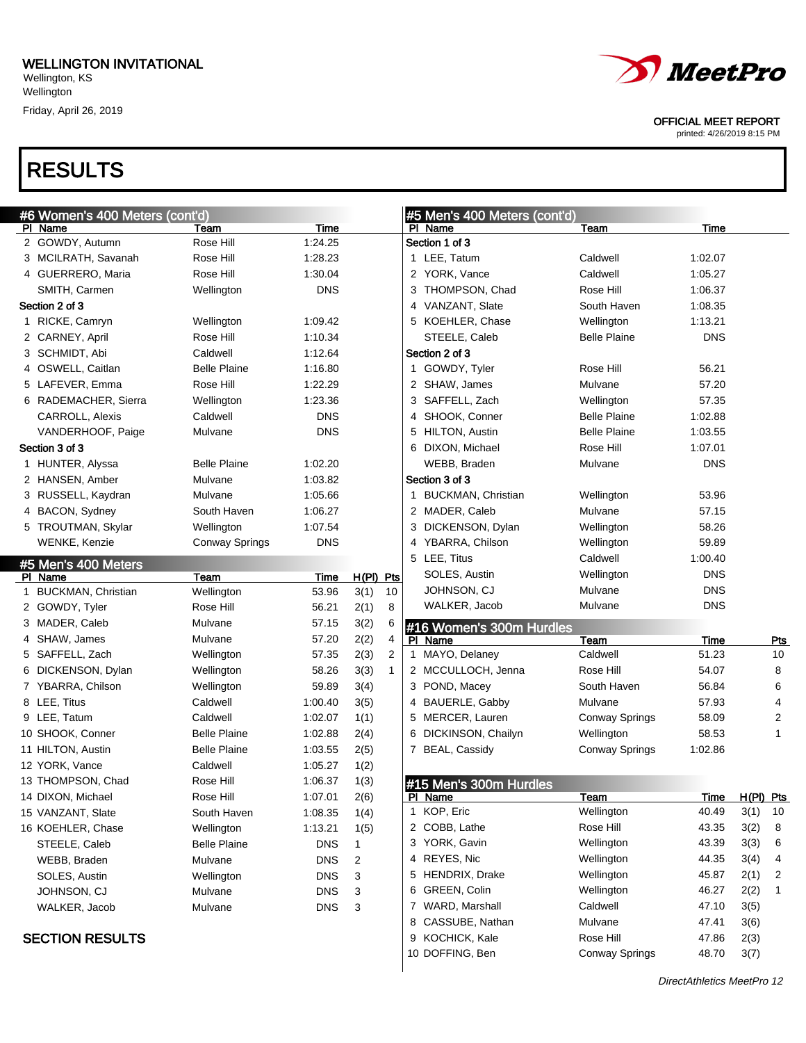**Wellington** Friday, April 26, 2019

### RESULTS

OFFICIAL MEET REPORT

printed: 4/26/2019 8:15 PM

| #6 Women's 400 Meters (cont'd) |                       |            |       |     | <b>类PI</b>     |
|--------------------------------|-----------------------|------------|-------|-----|----------------|
| PI Name                        | Team                  | Time       |       |     |                |
| 2 GOWDY, Autumn                | Rose Hill             | 1:24.25    |       |     | Se             |
| 3 MCILRATH, Savanah            | Rose Hill             | 1:28.23    |       |     | 1              |
| 4 GUERRERO, Maria              | Rose Hill             | 1:30.04    |       |     | 2              |
| SMITH, Carmen                  | Wellington            | <b>DNS</b> |       |     | 3              |
| Section 2 of 3                 |                       |            |       |     | 4              |
| 1 RICKE, Camryn                | Wellington            | 1:09.42    |       |     | 5              |
| 2 CARNEY, April                | Rose Hill             | 1:10.34    |       |     |                |
| 3 SCHMIDT, Abi                 | Caldwell              | 1:12.64    |       |     | Se             |
| 4 OSWELL, Caitlan              | <b>Belle Plaine</b>   | 1:16.80    |       |     | 1              |
| 5 LAFEVER, Emma                | Rose Hill             | 1:22.29    |       |     | 2              |
| 6 RADEMACHER, Sierra           | Wellington            | 1:23.36    |       |     | 3              |
| CARROLL, Alexis                | Caldwell              | <b>DNS</b> |       |     | 4              |
| VANDERHOOF, Paige              | Mulvane               | <b>DNS</b> |       |     | 5              |
| Section 3 of 3                 |                       |            |       |     | 6              |
| 1 HUNTER, Alyssa               | <b>Belle Plaine</b>   | 1:02.20    |       |     |                |
| 2 HANSEN, Amber                | Mulvane               | 1:03.82    |       |     | Se             |
| 3 RUSSELL, Kaydran             | Mulvane               | 1:05.66    |       |     | 1              |
| 4 BACON, Sydney                | South Haven           | 1:06.27    |       |     | 2              |
| 5 TROUTMAN, Skylar             | Wellington            | 1:07.54    |       |     | 3              |
| WENKE, Kenzie                  | <b>Conway Springs</b> | <b>DNS</b> |       |     | 4              |
| #5 Men's 400 Meters            |                       |            |       |     | 5              |
| PI Name                        | <b>Team</b>           | Time       | H(PI) | Pts |                |
| 1 BUCKMAN, Christian           | Wellington            | 53.96      | 3(1)  | 10  |                |
| 2 GOWDY, Tyler                 | Rose Hill             | 56.21      | 2(1)  | 8   |                |
| 3 MADER, Caleb                 | Mulvane               | 57.15      | 3(2)  | 6   | #1             |
| 4 SHAW, James                  | Mulvane               | 57.20      | 2(2)  | 4   | PI             |
| 5 SAFFELL, Zach                | Wellington            | 57.35      | 2(3)  | 2   | 1              |
| 6 DICKENSON, Dylan             | Wellington            | 58.26      | 3(3)  | 1   | 2              |
| 7 YBARRA, Chilson              | Wellington            | 59.89      | 3(4)  |     | 3              |
| 8 LEE, Titus                   | Caldwell              | 1:00.40    | 3(5)  |     | 4              |
| 9 LEE, Tatum                   | Caldwell              | 1:02.07    | 1(1)  |     | 5              |
| 10 SHOOK, Conner               | <b>Belle Plaine</b>   | 1:02.88    | 2(4)  |     | 6              |
| 11 HILTON, Austin              | <b>Belle Plaine</b>   | 1:03.55    | 2(5)  |     | $\overline{7}$ |
| 12 YORK, Vance                 | Caldwell              | 1:05.27    | 1(2)  |     |                |
| 13 THOMPSON, Chad              | Rose Hill             | 1:06.37    | 1(3)  |     |                |
| 14 DIXON, Michael              | Rose Hill             | 1:07.01    | 2(6)  |     | #1<br>Pl       |
| 15 VANZANT, Slate              | South Haven           | 1:08.35    | 1(4)  |     | 1              |
| 16 KOEHLER, Chase              | Wellington            | 1:13.21    | 1(5)  |     | 2              |
| STEELE, Caleb                  | <b>Belle Plaine</b>   | DNS        | 1     |     | 3              |
| WEBB, Braden                   | Mulvane               | DNS        | 2     |     | 4              |
| SOLES, Austin                  | Wellington            | DNS        | 3     |     | 5              |
| JOHNSON, CJ                    | Mulvane               | <b>DNS</b> | 3     |     | 6              |
| WALKER, Jacob                  | Mulvane               | <b>DNS</b> | 3     |     | 7              |
|                                |                       |            |       |     | 8              |
| <b>SECTION RESULTS</b>         |                       |            |       |     | 9              |

|    | #5 Men's 400 Meters (cont'd) |                       |             |              |            |
|----|------------------------------|-----------------------|-------------|--------------|------------|
|    | PI Name                      | Team                  | <u>Time</u> |              |            |
|    | Section 1 of 3               |                       |             |              |            |
|    | 1 LEE, Tatum                 | Caldwell              | 1:02.07     |              |            |
|    | 2 YORK, Vance                | Caldwell              | 1:05.27     |              |            |
|    | 3 THOMPSON, Chad             | Rose Hill             | 1:06.37     |              |            |
|    | 4 VANZANT, Slate             | South Haven           | 1:08.35     |              |            |
|    | 5 KOEHLER, Chase             | Wellington            | 1:13.21     |              |            |
|    | STEELE, Caleb                | <b>Belle Plaine</b>   | <b>DNS</b>  |              |            |
|    | Section 2 of 3               |                       |             |              |            |
|    | 1 GOWDY, Tyler               | Rose Hill             | 56.21       |              |            |
|    | 2 SHAW, James                | Mulvane               | 57.20       |              |            |
|    | 3 SAFFELL, Zach              | Wellington            | 57.35       |              |            |
|    | 4 SHOOK, Conner              | <b>Belle Plaine</b>   | 1:02.88     |              |            |
|    | 5 HILTON, Austin             | <b>Belle Plaine</b>   | 1:03.55     |              |            |
|    | 6 DIXON, Michael             | Rose Hill             | 1:07.01     |              |            |
|    | WEBB, Braden                 | Mulvane               | <b>DNS</b>  |              |            |
|    | Section 3 of 3               |                       |             |              |            |
|    | 1 BUCKMAN, Christian         | Wellington            | 53.96       |              |            |
|    | 2 MADER, Caleb               | Mulvane               | 57.15       |              |            |
|    | 3 DICKENSON, Dylan           | Wellington            | 58.26       |              |            |
|    | 4 YBARRA, Chilson            | Wellington            | 59.89       |              |            |
|    | 5 LEE, Titus                 | Caldwell              | 1:00.40     |              |            |
| S  | SOLES, Austin                | Wellington            | <b>DNS</b>  |              |            |
|    | JOHNSON, CJ                  | Mulvane               | <b>DNS</b>  |              |            |
|    | WALKER, Jacob                | Mulvane               | <b>DNS</b>  |              |            |
|    | #16 Women's 300m Hurdles     |                       |             |              |            |
|    | PI Name                      | Te <u>am</u>          | Time        |              | Pts        |
|    | 1 MAYO, Delaney              | Caldwell              | 51.23       |              | 10         |
|    | 2 MCCULLOCH, Jenna           | Rose Hill             | 54.07       |              | 8          |
|    | 3 POND, Macey                | South Haven           | 56.84       |              | 6          |
|    | 4 BAUERLE, Gabby             | Mulvane               | 57.93       |              | 4          |
|    | 5 MERCER, Lauren             | Conway Springs        | 58.09       |              | 2          |
|    | 6 DICKINSON, Chailyn         | Wellington            | 58.53       |              | 1          |
|    | 7 BEAL, Cassidy              | <b>Conway Springs</b> | 1:02.86     |              |            |
|    | #15 Men's 300m Hurdles       |                       |             |              |            |
| ٣ι | <u>_name</u>                 | <b>Team</b>           | <u>Time</u> | <u>H(PI)</u> | <u>Pts</u> |
| 1  | KOP, Eric                    | Wellington            | 40.49       | 3(1)         | 10         |
| 2  | COBB, Lathe                  | Rose Hill             | 43.35       | 3(2)         | 8          |
| 3  | YORK, Gavin                  | Wellington            | 43.39       | 3(3)         | 6          |
| 4  | REYES, Nic                   | Wellington            | 44.35       | 3(4)         | 4          |
| 5  | HENDRIX, Drake               | Wellington            | 45.87       | 2(1)         | 2          |
| 6  | GREEN, Colin                 | Wellington            | 46.27       | 2(2)         | 1          |
| 7  | WARD, Marshall               | Caldwell              | 47.10       | 3(5)         |            |
| 8  | CASSUBE, Nathan              | Mulvane               | 47.41       | 3(6)         |            |
| 9  | KOCHICK, Kale                | Rose Hill             | 47.86       | 2(3)         |            |

10 DOFFING, Ben Conway Springs 48.70 3(7)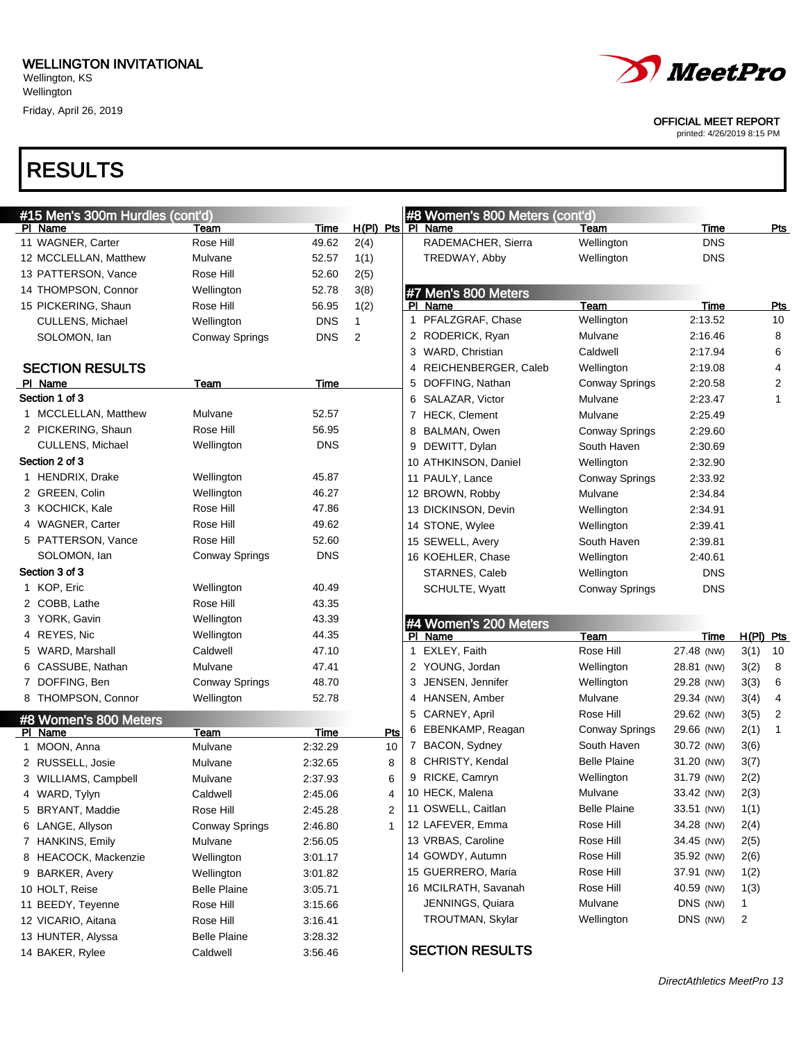# RESULTS

| #15 Men's 300m Hurdles (cont'd)      |                                 |                    |                | #8 Women's 800 Meters (cont'd)         |                        |                    |                           |
|--------------------------------------|---------------------------------|--------------------|----------------|----------------------------------------|------------------------|--------------------|---------------------------|
| PI Name                              | Team                            | Time               |                | $H(PI)$ Pts $Pl$ Name                  | Team                   | Time               | <u>Pts</u>                |
| 11 WAGNER, Carter                    | Rose Hill                       | 49.62              | 2(4)           | RADEMACHER, Sierra                     | Wellington             | <b>DNS</b>         |                           |
| 12 MCCLELLAN, Matthew                | Mulvane                         | 52.57              | 1(1)           | TREDWAY, Abby                          | Wellington             | <b>DNS</b>         |                           |
| 13 PATTERSON, Vance                  | Rose Hill                       | 52.60              | 2(5)           |                                        |                        |                    |                           |
| 14 THOMPSON, Connor                  | Wellington                      | 52.78              | 3(8)           | #7 Men's 800 Meters                    |                        |                    |                           |
| 15 PICKERING, Shaun                  | Rose Hill                       | 56.95              | 1(2)           | PI Name                                | Team                   | <b>Time</b>        | <u>Pts</u>                |
| CULLENS, Michael                     | Wellington                      | <b>DNS</b>         | $\mathbf{1}$   | 1 PFALZGRAF, Chase                     | Wellington             | 2:13.52            | 10                        |
| SOLOMON, lan                         | <b>Conway Springs</b>           | <b>DNS</b>         | 2              | 2 RODERICK, Ryan                       | Mulvane                | 2:16.46            | 8                         |
|                                      |                                 |                    |                | 3 WARD, Christian                      | Caldwell               | 2:17.94            | 6                         |
| <b>SECTION RESULTS</b>               |                                 |                    |                | 4 REICHENBERGER, Caleb                 | Wellington             | 2:19.08            | 4                         |
| PI Name                              | Team                            | Time               |                | DOFFING, Nathan<br>5                   | Conway Springs         | 2:20.58            | $\overline{2}$            |
| Section 1 of 3                       |                                 |                    |                | 6 SALAZAR, Victor                      | Mulvane                | 2:23.47            | $\mathbf{1}$              |
| 1 MCCLELLAN, Matthew                 | Mulvane                         | 52.57              |                | 7 HECK, Clement                        | Mulvane                | 2:25.49            |                           |
| 2 PICKERING, Shaun                   | Rose Hill                       | 56.95              |                | 8 BALMAN, Owen                         | <b>Conway Springs</b>  | 2:29.60            |                           |
| CULLENS, Michael                     | Wellington                      | <b>DNS</b>         |                | 9 DEWITT, Dylan                        | South Haven            | 2:30.69            |                           |
| Section 2 of 3                       |                                 |                    |                | 10 ATHKINSON, Daniel                   | Wellington             | 2:32.90            |                           |
| 1 HENDRIX, Drake                     | Wellington                      | 45.87              |                | 11 PAULY, Lance                        | <b>Conway Springs</b>  | 2:33.92            |                           |
| 2 GREEN, Colin                       | Wellington                      | 46.27              |                | 12 BROWN, Robby                        | Mulvane                | 2:34.84            |                           |
| 3 KOCHICK, Kale                      | Rose Hill                       | 47.86              |                | 13 DICKINSON, Devin                    | Wellington             | 2:34.91            |                           |
| 4 WAGNER, Carter                     | Rose Hill                       | 49.62              |                | 14 STONE, Wylee                        | Wellington             | 2:39.41            |                           |
| 5 PATTERSON, Vance<br>SOLOMON, lan   | Rose Hill                       | 52.60              |                | 15 SEWELL, Avery                       | South Haven            | 2:39.81            |                           |
|                                      | <b>Conway Springs</b>           | <b>DNS</b>         |                | 16 KOEHLER, Chase                      | Wellington             | 2:40.61            |                           |
| Section 3 of 3<br>1 KOP, Eric        |                                 |                    |                | STARNES, Caleb                         | Wellington             | <b>DNS</b>         |                           |
|                                      | Wellington<br>Rose Hill         | 40.49<br>43.35     |                | SCHULTE, Wyatt                         | <b>Conway Springs</b>  | <b>DNS</b>         |                           |
| 2 COBB, Lathe<br>3 YORK, Gavin       | Wellington                      | 43.39              |                |                                        |                        |                    |                           |
| 4 REYES, Nic                         | Wellington                      | 44.35              |                | #4 Women's 200 Meters                  |                        |                    |                           |
| 5 WARD, Marshall                     | Caldwell                        | 47.10              |                | PI Name<br>EXLEY, Faith<br>$\mathbf 1$ | Team<br>Rose Hill      | Time<br>27.48 (NW) | $H(PI)$ Pts<br>3(1)<br>10 |
| 6 CASSUBE, Nathan                    | Mulvane                         | 47.41              |                | 2 YOUNG, Jordan                        | Wellington             | 28.81 (NW)         | 3(2)<br>8                 |
| 7 DOFFING, Ben                       |                                 |                    |                |                                        |                        |                    |                           |
|                                      |                                 |                    |                |                                        |                        |                    |                           |
|                                      | <b>Conway Springs</b>           | 48.70              |                | JENSEN, Jennifer<br>3                  | Wellington             | 29.28 (NW)         | 3(3)<br>6                 |
| 8 THOMPSON, Connor                   | Wellington                      | 52.78              |                | 4 HANSEN, Amber                        | Mulvane                | 29.34 (NW)         | 3(4)<br>4                 |
| #8 Women's 800 Meters                |                                 |                    |                | 5 CARNEY, April                        | Rose Hill              | 29.62 (NW)         | 3(5)<br>$\overline{2}$    |
| PI Name                              | Team                            | Time               | <b>Pts</b>     | 6 EBENKAMP, Reagan                     | <b>Conway Springs</b>  | 29.66 (NW)         | 2(1)<br>1                 |
| 1 MOON, Anna                         | Mulvane                         | 2:32.29            | 10             | 7 BACON, Sydney                        | South Haven            | 30.72 (NW)         | 3(6)                      |
| 2 RUSSELL, Josie                     | Mulvane                         | 2:32.65            | 8              | 8 CHRISTY, Kendal                      | <b>Belle Plaine</b>    | 31.20 (NW)         | 3(7)                      |
| 3 WILLIAMS, Campbell                 | Mulvane                         | 2:37.93            | 6              | 9 RICKE, Camryn                        | Wellington             | 31.79 (NW)         | 2(2)                      |
| 4 WARD, Tylyn                        | Caldwell                        | 2:45.06            | 4              | 10 HECK, Malena                        | Mulvane                | 33.42 (NW)         | 2(3)                      |
| 5 BRYANT, Maddie                     | Rose Hill                       | 2:45.28            | $\overline{2}$ | 11 OSWELL, Caitlan                     | <b>Belle Plaine</b>    | 33.51 (NW)         | 1(1)                      |
| 6 LANGE, Allyson                     | <b>Conway Springs</b>           | 2:46.80            | 1              | 12 LAFEVER, Emma                       | Rose Hill              | 34.28 (NW)         | 2(4)                      |
| 7 HANKINS, Emily                     | Mulvane                         | 2:56.05            |                | 13 VRBAS, Caroline                     | Rose Hill              | 34.45 (NW)         | 2(5)                      |
| 8 HEACOCK, Mackenzie                 | Wellington                      | 3:01.17            |                | 14 GOWDY, Autumn                       | Rose Hill<br>Rose Hill | 35.92 (NW)         | 2(6)                      |
| 9 BARKER, Avery                      | Wellington                      | 3:01.82            |                | 15 GUERRERO, Maria                     | Rose Hill              | 37.91 (NW)         | 1(2)                      |
| 10 HOLT, Reise                       | <b>Belle Plaine</b>             | 3:05.71            |                | 16 MCILRATH, Savanah                   |                        | 40.59 (NW)         | 1(3)                      |
| 11 BEEDY, Teyenne                    | Rose Hill                       | 3:15.66            |                | JENNINGS, Quiara                       | Mulvane                | DNS (NW)           | 1                         |
| 12 VICARIO, Aitana                   | Rose Hill                       | 3:16.41            |                | TROUTMAN, Skylar                       | Wellington             | DNS (NW)           | 2                         |
| 13 HUNTER, Alyssa<br>14 BAKER, Rylee | <b>Belle Plaine</b><br>Caldwell | 3:28.32<br>3:56.46 |                | <b>SECTION RESULTS</b>                 |                        |                    |                           |



OFFICIAL MEET REPORT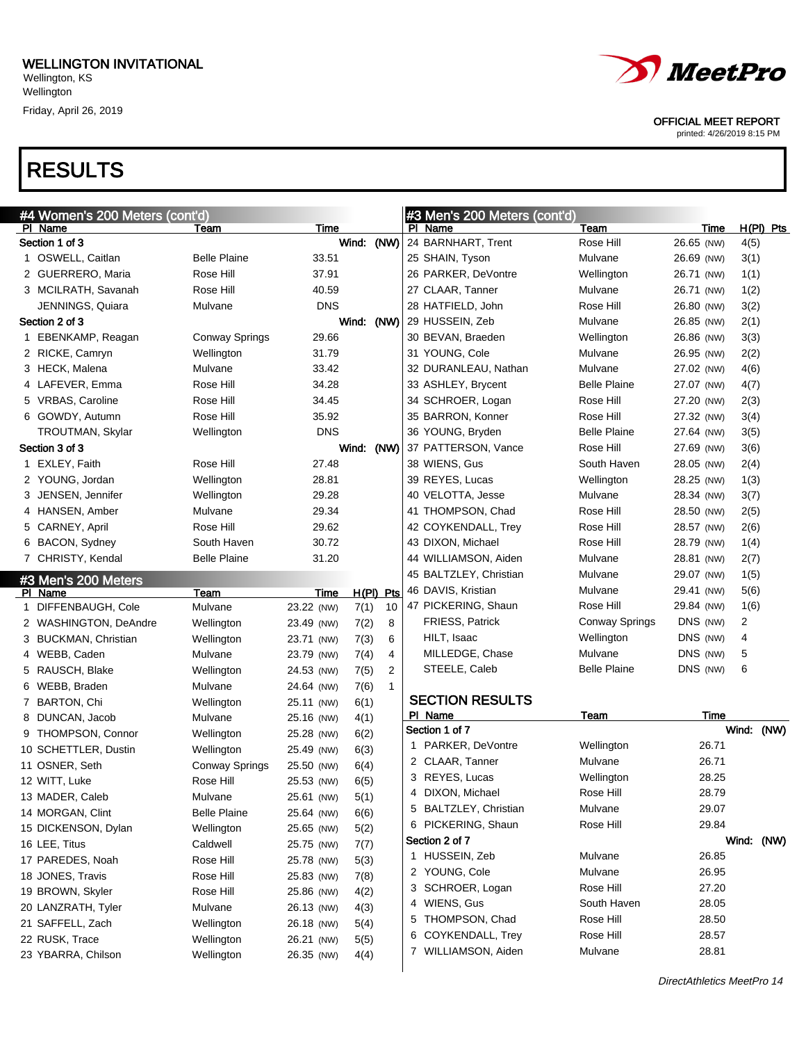## RESULTS

OFFICIAL MEET REPORT

| #4 Women's 200 Meters (cont'd) |                       |            |             |    |   | #3 Men's 200 Meters (cont'd) |                     |            |                |             |
|--------------------------------|-----------------------|------------|-------------|----|---|------------------------------|---------------------|------------|----------------|-------------|
| PI Name                        | Team                  | Time       |             |    |   | PI Name                      | Team                | Time       |                | $H(PI)$ Pts |
| Section 1 of 3                 |                       |            | Wind: (NW)  |    |   | 24 BARNHART, Trent           | Rose Hill           | 26.65 (NW) | 4(5)           |             |
| 1 OSWELL, Caitlan              | <b>Belle Plaine</b>   | 33.51      |             |    |   | 25 SHAIN, Tyson              | Mulvane             | 26.69 (NW) | 3(1)           |             |
| 2 GUERRERO, Maria              | Rose Hill             | 37.91      |             |    |   | 26 PARKER, DeVontre          | Wellington          | 26.71 (NW) | 1(1)           |             |
| 3 MCILRATH, Savanah            | Rose Hill             | 40.59      |             |    |   | 27 CLAAR, Tanner             | Mulvane             | 26.71 (NW) | 1(2)           |             |
| JENNINGS, Quiara               | Mulvane               | <b>DNS</b> |             |    |   | 28 HATFIELD, John            | Rose Hill           | 26.80 (NW) | 3(2)           |             |
| Section 2 of 3                 |                       |            | Wind: (NW)  |    |   | 29 HUSSEIN, Zeb              | Mulvane             | 26.85 (NW) | 2(1)           |             |
| 1 EBENKAMP, Reagan             | <b>Conway Springs</b> | 29.66      |             |    |   | 30 BEVAN, Braeden            | Wellington          | 26.86 (NW) | 3(3)           |             |
| 2 RICKE, Camryn                | Wellington            | 31.79      |             |    |   | 31 YOUNG, Cole               | Mulvane             | 26.95 (NW) | 2(2)           |             |
| 3 HECK, Malena                 | Mulvane               | 33.42      |             |    |   | 32 DURANLEAU, Nathan         | Mulvane             | 27.02 (NW) | 4(6)           |             |
| 4 LAFEVER, Emma                | Rose Hill             | 34.28      |             |    |   | 33 ASHLEY, Brycent           | <b>Belle Plaine</b> | 27.07 (NW) | 4(7)           |             |
| 5 VRBAS, Caroline              | Rose Hill             | 34.45      |             |    |   | 34 SCHROER, Logan            | Rose Hill           | 27.20 (NW) | 2(3)           |             |
| 6 GOWDY, Autumn                | Rose Hill             | 35.92      |             |    |   | 35 BARRON, Konner            | Rose Hill           | 27.32 (NW) | 3(4)           |             |
| TROUTMAN, Skylar               | Wellington            | <b>DNS</b> |             |    |   | 36 YOUNG, Bryden             | <b>Belle Plaine</b> | 27.64 (NW) | 3(5)           |             |
| Section 3 of 3                 |                       |            | Wind: (NW)  |    |   | 37 PATTERSON, Vance          | Rose Hill           | 27.69 (NW) | 3(6)           |             |
| 1 EXLEY, Faith                 | Rose Hill             | 27.48      |             |    |   | 38 WIENS, Gus                | South Haven         | 28.05 (NW) | 2(4)           |             |
| 2 YOUNG, Jordan                | Wellington            | 28.81      |             |    |   | 39 REYES, Lucas              | Wellington          | 28.25 (NW) | 1(3)           |             |
| 3 JENSEN, Jennifer             | Wellington            | 29.28      |             |    |   | 40 VELOTTA, Jesse            | Mulvane             | 28.34 (NW) | 3(7)           |             |
| 4 HANSEN, Amber                | Mulvane               | 29.34      |             |    |   | 41 THOMPSON, Chad            | Rose Hill           | 28.50 (NW) | 2(5)           |             |
| 5 CARNEY, April                | Rose Hill             | 29.62      |             |    |   | 42 COYKENDALL, Trey          | Rose Hill           | 28.57 (NW) | 2(6)           |             |
| 6 BACON, Sydney                | South Haven           | 30.72      |             |    |   | 43 DIXON, Michael            | Rose Hill           | 28.79 (NW) | 1(4)           |             |
| 7 CHRISTY, Kendal              | <b>Belle Plaine</b>   | 31.20      |             |    |   | 44 WILLIAMSON, Aiden         | Mulvane             | 28.81 (NW) | 2(7)           |             |
| #3 Men's 200 Meters            |                       |            |             |    |   | 45 BALTZLEY, Christian       | Mulvane             | 29.07 (NW) | 1(5)           |             |
| PI Name                        | Team                  | Time       | $H(PI)$ Pts |    |   | 46 DAVIS, Kristian           | Mulvane             | 29.41 (NW) | 5(6)           |             |
| 1 DIFFENBAUGH, Cole            | Mulvane               | 23.22 (NW) | 7(1)        | 10 |   | 47 PICKERING, Shaun          | Rose Hill           | 29.84 (NW) | 1(6)           |             |
| 2 WASHINGTON, DeAndre          | Wellington            | 23.49 (NW) | 7(2)        | 8  |   | FRIESS, Patrick              | Conway Springs      | DNS (NW)   | $\overline{c}$ |             |
| 3 BUCKMAN, Christian           | Wellington            | 23.71 (NW) | 7(3)        | 6  |   | HILT, Isaac                  | Wellington          | DNS (NW)   | 4              |             |
| 4 WEBB, Caden                  | Mulvane               | 23.79 (NW) | 7(4)        | 4  |   | MILLEDGE, Chase              | Mulvane             | DNS (NW)   | 5              |             |
| 5 RAUSCH, Blake                | Wellington            | 24.53 (NW) | 7(5)        | 2  |   | STEELE, Caleb                | <b>Belle Plaine</b> | DNS (NW)   | 6              |             |
| 6 WEBB, Braden                 | Mulvane               | 24.64 (NW) | 7(6)        | 1  |   |                              |                     |            |                |             |
| 7 BARTON, Chi                  | Wellington            | 25.11 (NW) | 6(1)        |    |   | <b>SECTION RESULTS</b>       |                     |            |                |             |
| 8 DUNCAN, Jacob                | Mulvane               | 25.16 (NW) | 4(1)        |    |   | PI Name                      | Team                | Time       |                |             |
| 9 THOMPSON, Connor             | Wellington            | 25.28 (NW) | 6(2)        |    |   | Section 1 of 7               |                     |            |                | Wind: (NW)  |
| 10 SCHETTLER, Dustin           | Wellington            | 25.49 (NW) | 6(3)        |    |   | 1 PARKER, DeVontre           | Wellington          | 26.71      |                |             |
| 11 OSNER, Seth                 | <b>Conway Springs</b> | 25.50 (NW) | 6(4)        |    |   | 2 CLAAR, Tanner              | Mulvane             | 26.71      |                |             |
| 12 WITT, Luke                  | Rose Hill             | 25.53 (NW) | 6(5)        |    |   | 3 REYES, Lucas               | Wellington          | 28.25      |                |             |
| 13 MADER, Caleb                | Mulvane               | 25.61 (NW) | 5(1)        |    | 4 | DIXON, Michael               | Rose Hill           | 28.79      |                |             |
| 14 MORGAN, Clint               | <b>Belle Plaine</b>   | 25.64 (NW) | 6(6)        |    |   | 5 BALTZLEY, Christian        | Mulvane             | 29.07      |                |             |
| 15 DICKENSON, Dylan            | Wellington            | 25.65 (NW) | 5(2)        |    |   | 6 PICKERING, Shaun           | Rose Hill           | 29.84      |                |             |
| 16 LEE, Titus                  | Caldwell              | 25.75 (NW) | 7(7)        |    |   | Section 2 of 7               |                     |            |                | Wind: (NW)  |
| 17 PAREDES, Noah               | Rose Hill             | 25.78 (NW) | 5(3)        |    |   | 1 HUSSEIN, Zeb               | Mulvane             | 26.85      |                |             |
| 18 JONES, Travis               | Rose Hill             | 25.83 (NW) | 7(8)        |    |   | 2 YOUNG, Cole                | Mulvane             | 26.95      |                |             |
| 19 BROWN, Skyler               | Rose Hill             | 25.86 (NW) | 4(2)        |    |   | 3 SCHROER, Logan             | Rose Hill           | 27.20      |                |             |
| 20 LANZRATH, Tyler             | Mulvane               | 26.13 (NW) | 4(3)        |    |   | 4 WIENS, Gus                 | South Haven         | 28.05      |                |             |
| 21 SAFFELL, Zach               | Wellington            | 26.18 (NW) | 5(4)        |    |   | 5 THOMPSON, Chad             | Rose Hill           | 28.50      |                |             |
| 22 RUSK, Trace                 | Wellington            | 26.21 (NW) | 5(5)        |    |   | 6 COYKENDALL, Trey           | Rose Hill           | 28.57      |                |             |
| 23 YBARRA, Chilson             | Wellington            | 26.35 (NW) | 4(4)        |    |   | 7 WILLIAMSON, Aiden          | Mulvane             | 28.81      |                |             |
|                                |                       |            |             |    |   |                              |                     |            |                |             |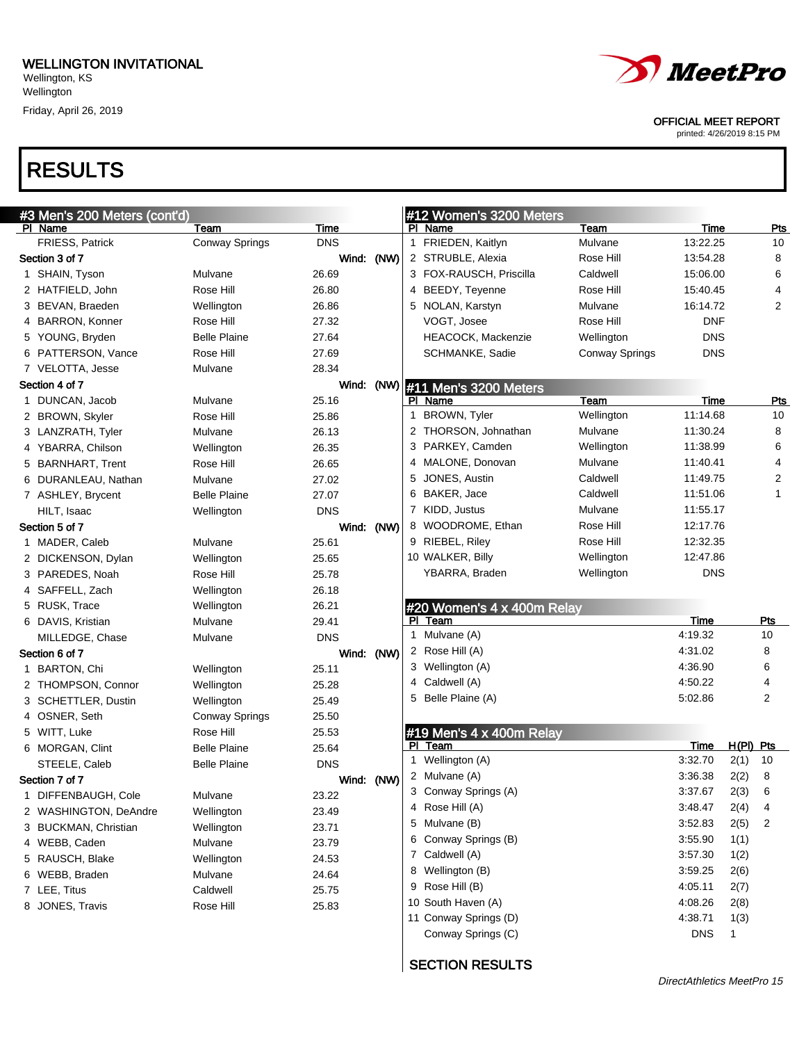Friday, April 26, 2019

## RESULTS

#### OFFICIAL MEET REPORT

printed: 4/26/2019 8:15 PM

|   | #3 Men's 200 Meters (cont'd) |                       |            |      |   | #12 Women's 3200 Meters    |                       |            |             |                |
|---|------------------------------|-----------------------|------------|------|---|----------------------------|-----------------------|------------|-------------|----------------|
|   | PI Name                      | Team                  | Time       |      |   | PI Name                    | Team                  | Time       |             | <u>Pts</u>     |
|   | FRIESS, Patrick              | <b>Conway Springs</b> | <b>DNS</b> |      |   | 1 FRIEDEN, Kaitlyn         | Mulvane               | 13:22.25   |             | 10             |
|   | Section 3 of 7               |                       | Wind: (NW) |      |   | 2 STRUBLE, Alexia          | Rose Hill             | 13:54.28   |             | 8              |
|   | 1 SHAIN, Tyson               | Mulvane               | 26.69      |      |   | 3 FOX-RAUSCH, Priscilla    | Caldwell              | 15:06.00   |             | 6              |
|   | 2 HATFIELD, John             | Rose Hill             | 26.80      |      |   | 4 BEEDY, Teyenne           | Rose Hill             | 15:40.45   |             | 4              |
|   | 3 BEVAN, Braeden             | Wellington            | 26.86      |      |   | 5 NOLAN, Karstyn           | Mulvane               | 16:14.72   |             | $\overline{2}$ |
|   | 4 BARRON, Konner             | Rose Hill             | 27.32      |      |   | VOGT, Josee                | Rose Hill             | <b>DNF</b> |             |                |
|   | 5 YOUNG, Bryden              | <b>Belle Plaine</b>   | 27.64      |      |   | HEACOCK, Mackenzie         | Wellington            | <b>DNS</b> |             |                |
|   | 6 PATTERSON, Vance           | Rose Hill             | 27.69      |      |   | SCHMANKE, Sadie            | <b>Conway Springs</b> | <b>DNS</b> |             |                |
|   | 7 VELOTTA, Jesse             | Mulvane               | 28.34      |      |   |                            |                       |            |             |                |
|   | Section 4 of 7               |                       | Wind:      | (NW) |   | #11 Men's 3200 Meters      |                       |            |             |                |
|   | 1 DUNCAN, Jacob              | Mulvane               | 25.16      |      |   | PI Name                    | Team                  | Time       |             | <b>Pts</b>     |
|   | 2 BROWN, Skyler              | Rose Hill             | 25.86      |      |   | 1 BROWN, Tyler             | Wellington            | 11:14.68   |             | 10             |
|   | 3 LANZRATH, Tyler            | Mulvane               | 26.13      |      |   | 2 THORSON, Johnathan       | Mulvane               | 11:30.24   |             | 8              |
|   | 4 YBARRA, Chilson            | Wellington            | 26.35      |      |   | 3 PARKEY, Camden           | Wellington            | 11:38.99   |             | 6              |
|   | 5 BARNHART, Trent            | Rose Hill             | 26.65      |      |   | 4 MALONE, Donovan          | Mulvane               | 11:40.41   |             | 4              |
|   | 6 DURANLEAU, Nathan          | Mulvane               | 27.02      |      | 5 | JONES, Austin              | Caldwell              | 11:49.75   |             | 2              |
|   | 7 ASHLEY, Brycent            | <b>Belle Plaine</b>   | 27.07      |      |   | 6 BAKER, Jace              | Caldwell              | 11:51.06   |             | 1              |
|   | HILT, Isaac                  | Wellington            | <b>DNS</b> |      |   | 7 KIDD, Justus             | Mulvane               | 11:55.17   |             |                |
|   | Section 5 of 7               |                       | Wind: (NW) |      |   | 8 WOODROME, Ethan          | Rose Hill             | 12:17.76   |             |                |
|   | 1 MADER, Caleb               | Mulvane               | 25.61      |      |   | 9 RIEBEL, Riley            | Rose Hill             | 12:32.35   |             |                |
|   | 2 DICKENSON, Dylan           | Wellington            | 25.65      |      |   | 10 WALKER, Billy           | Wellington            | 12:47.86   |             |                |
|   | 3 PAREDES, Noah              | Rose Hill             | 25.78      |      |   | YBARRA, Braden             | Wellington            | <b>DNS</b> |             |                |
|   | 4 SAFFELL, Zach              | Wellington            | 26.18      |      |   |                            |                       |            |             |                |
|   | 5 RUSK, Trace                | Wellington            | 26.21      |      |   | #20 Women's 4 x 400m Relay |                       |            |             |                |
|   | 6 DAVIS, Kristian            | Mulvane               | 29.41      |      |   | PI Team                    |                       | Time       |             | Pts            |
|   | MILLEDGE, Chase              | Mulvane               | <b>DNS</b> |      |   | 1 Mulvane (A)              |                       | 4:19.32    |             | 10             |
|   | Section 6 of 7               |                       | Wind: (NW) |      |   | 2 Rose Hill (A)            |                       | 4:31.02    |             | 8              |
|   | 1 BARTON, Chi                | Wellington            | 25.11      |      |   | 3 Wellington (A)           |                       | 4:36.90    |             | 6              |
|   | 2 THOMPSON, Connor           | Wellington            | 25.28      |      |   | 4 Caldwell (A)             |                       | 4:50.22    |             | 4              |
|   | 3 SCHETTLER, Dustin          | Wellington            | 25.49      |      | 5 | Belle Plaine (A)           |                       | 5:02.86    |             | 2              |
|   | 4 OSNER, Seth                | <b>Conway Springs</b> | 25.50      |      |   |                            |                       |            |             |                |
|   | 5 WITT, Luke                 | Rose Hill             | 25.53      |      |   | #19 Men's 4 x 400m Relay   |                       |            |             |                |
|   |                              | <b>Belle Plaine</b>   | 25.64      |      |   | PI Team                    |                       | Time       | $H(PI)$ Pts |                |
|   | 6 MORGAN, Clint              | <b>Belle Plaine</b>   | <b>DNS</b> |      |   | 1 Wellington (A)           |                       | 3:32.70    | 2(1)        | 10             |
|   | STEELE, Caleb                |                       |            |      |   | 2 Mulvane (A)              |                       | 3:36.38    | 2(2)        | 8              |
|   | Section 7 of 7               |                       | Wind: (NW) |      |   | 3 Conway Springs (A)       |                       | 3:37.67    | 2(3)        | 6              |
| 1 | DIFFENBAUGH, Cole            | Mulvane               | 23.22      |      |   | 4 Rose Hill (A)            |                       | 3:48.47    | 2(4)        | 4              |
|   | 2 WASHINGTON, DeAndre        | Wellington            | 23.49      |      |   | 5 Mulvane (B)              |                       | 3:52.83    | 2(5)        | 2              |
|   | 3 BUCKMAN, Christian         | Wellington            | 23.71      |      |   | 6 Conway Springs (B)       |                       | 3:55.90    | 1(1)        |                |
|   | 4 WEBB, Caden                | Mulvane               | 23.79      |      |   | 7 Caldwell (A)             |                       | 3:57.30    | 1(2)        |                |
|   | 5 RAUSCH, Blake              | Wellington            | 24.53      |      |   |                            |                       |            |             |                |
|   | 6 WEBB, Braden               | Mulvane               | 24.64      |      |   | 8 Wellington (B)           |                       | 3:59.25    | 2(6)        |                |
|   | 7 LEE, Titus                 | Caldwell              | 25.75      |      |   | 9 Rose Hill (B)            |                       | 4:05.11    | 2(7)        |                |
|   | 8 JONES, Travis              | Rose Hill             | 25.83      |      |   | 10 South Haven (A)         |                       | 4:08.26    | 2(8)        |                |
|   |                              |                       |            |      |   | 11 Conway Springs (D)      |                       | 4:38.71    | 1(3)        |                |
|   |                              |                       |            |      |   | Conway Springs (C)         |                       | <b>DNS</b> | 1           |                |

#### SECTION RESULTS